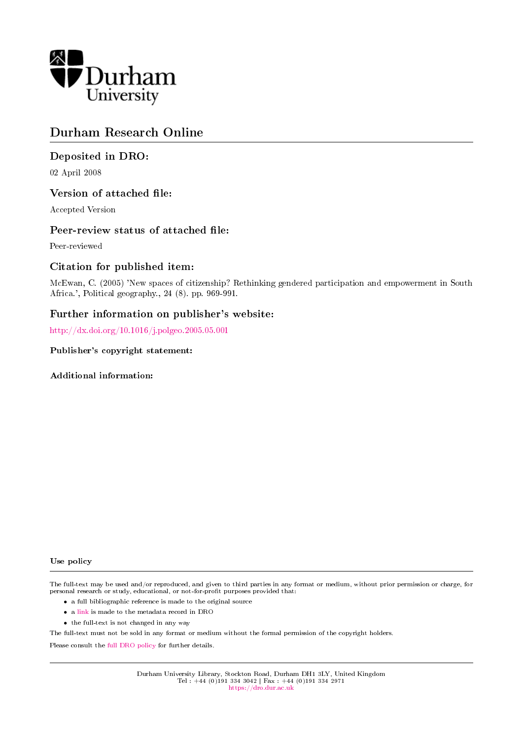

## Durham Research Online

## Deposited in DRO:

02 April 2008

## Version of attached file:

Accepted Version

## Peer-review status of attached file:

Peer-reviewed

## Citation for published item:

McEwan, C. (2005) 'New spaces of citizenship? Rethinking gendered participation and empowerment in South Africa.', Political geography., 24 (8). pp. 969-991.

## Further information on publisher's website:

<http://dx.doi.org/10.1016/j.polgeo.2005.05.001>

#### Publisher's copyright statement:

Additional information:

#### Use policy

The full-text may be used and/or reproduced, and given to third parties in any format or medium, without prior permission or charge, for personal research or study, educational, or not-for-profit purposes provided that:

- a full bibliographic reference is made to the original source
- a [link](http://dro.dur.ac.uk/1204/) is made to the metadata record in DRO
- the full-text is not changed in any way

The full-text must not be sold in any format or medium without the formal permission of the copyright holders.

Please consult the [full DRO policy](https://dro.dur.ac.uk/policies/usepolicy.pdf) for further details.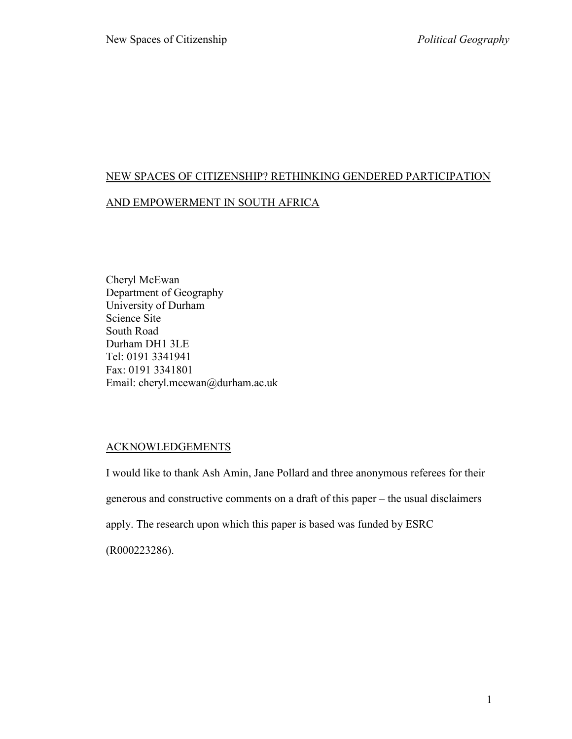# NEW SPACES OF CITIZENSHIP? RETHINKING GENDERED PARTICIPATION AND EMPOWERMENT IN SOUTH AFRICA

Cheryl McEwan Department of Geography University of Durham Science Site South Road Durham DH1 3LE Tel: 0191 3341941 Fax: 0191 3341801 Email: cheryl.mcewan@durham.ac.uk

## ACKNOWLEDGEMENTS

I would like to thank Ash Amin, Jane Pollard and three anonymous referees for their generous and constructive comments on a draft of this paper – the usual disclaimers apply. The research upon which this paper is based was funded by ESRC

(R000223286).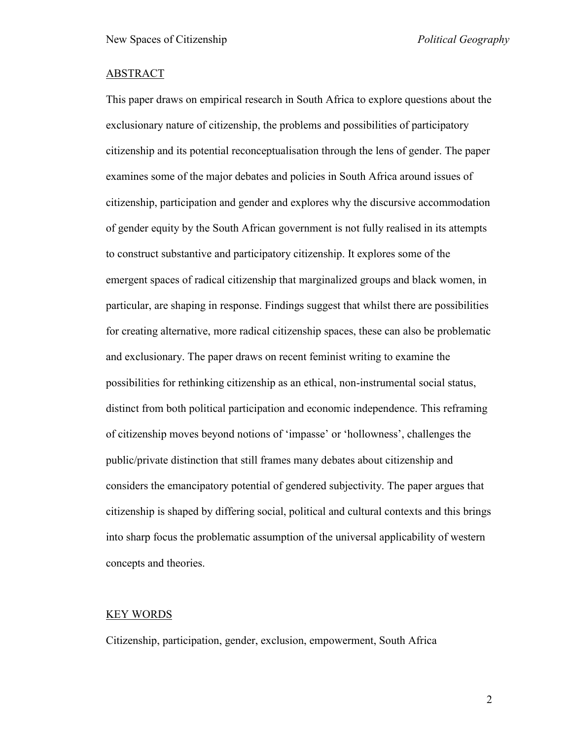## ABSTRACT

This paper draws on empirical research in South Africa to explore questions about the exclusionary nature of citizenship, the problems and possibilities of participatory citizenship and its potential reconceptualisation through the lens of gender. The paper examines some of the major debates and policies in South Africa around issues of citizenship, participation and gender and explores why the discursive accommodation of gender equity by the South African government is not fully realised in its attempts to construct substantive and participatory citizenship. It explores some of the emergent spaces of radical citizenship that marginalized groups and black women, in particular, are shaping in response. Findings suggest that whilst there are possibilities for creating alternative, more radical citizenship spaces, these can also be problematic and exclusionary. The paper draws on recent feminist writing to examine the possibilities for rethinking citizenship as an ethical, non-instrumental social status, distinct from both political participation and economic independence. This reframing of citizenship moves beyond notions of "impasse" or "hollowness", challenges the public/private distinction that still frames many debates about citizenship and considers the emancipatory potential of gendered subjectivity. The paper argues that citizenship is shaped by differing social, political and cultural contexts and this brings into sharp focus the problematic assumption of the universal applicability of western concepts and theories.

#### KEY WORDS

Citizenship, participation, gender, exclusion, empowerment, South Africa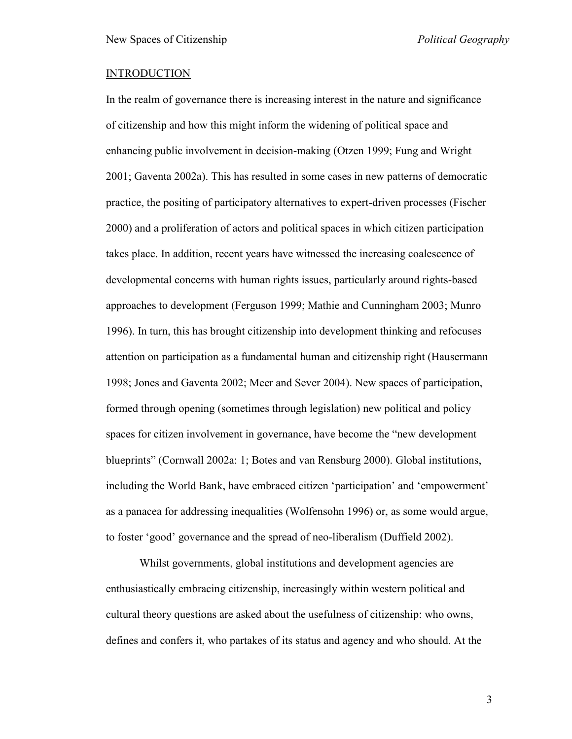### **INTRODUCTION**

In the realm of governance there is increasing interest in the nature and significance of citizenship and how this might inform the widening of political space and enhancing public involvement in decision-making (Otzen 1999; Fung and Wright 2001; Gaventa 2002a). This has resulted in some cases in new patterns of democratic practice, the positing of participatory alternatives to expert-driven processes (Fischer 2000) and a proliferation of actors and political spaces in which citizen participation takes place. In addition, recent years have witnessed the increasing coalescence of developmental concerns with human rights issues, particularly around rights-based approaches to development (Ferguson 1999; Mathie and Cunningham 2003; Munro 1996). In turn, this has brought citizenship into development thinking and refocuses attention on participation as a fundamental human and citizenship right (Hausermann 1998; Jones and Gaventa 2002; Meer and Sever 2004). New spaces of participation, formed through opening (sometimes through legislation) new political and policy spaces for citizen involvement in governance, have become the "new development blueprints" (Cornwall 2002a: 1; Botes and van Rensburg 2000). Global institutions, including the World Bank, have embraced citizen "participation" and "empowerment" as a panacea for addressing inequalities (Wolfensohn 1996) or, as some would argue, to foster "good" governance and the spread of neo-liberalism (Duffield 2002).

Whilst governments, global institutions and development agencies are enthusiastically embracing citizenship, increasingly within western political and cultural theory questions are asked about the usefulness of citizenship: who owns, defines and confers it, who partakes of its status and agency and who should. At the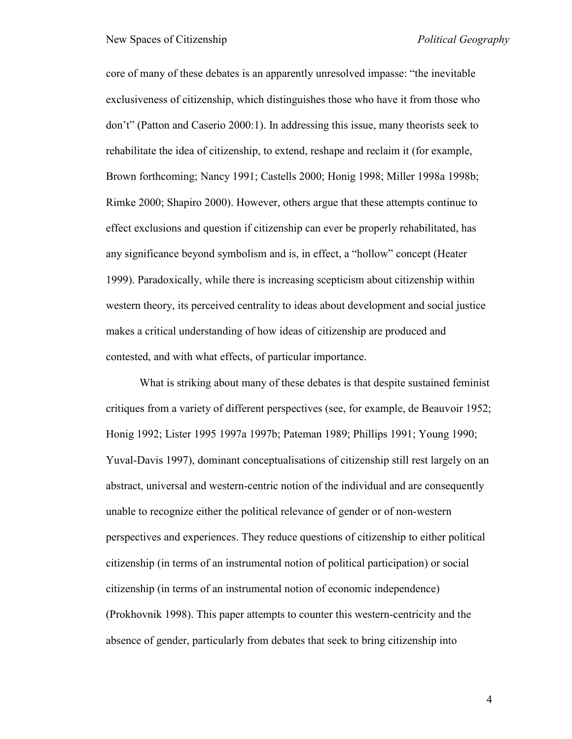core of many of these debates is an apparently unresolved impasse: "the inevitable exclusiveness of citizenship, which distinguishes those who have it from those who don"t" (Patton and Caserio 2000:1). In addressing this issue, many theorists seek to rehabilitate the idea of citizenship, to extend, reshape and reclaim it (for example, Brown forthcoming; Nancy 1991; Castells 2000; Honig 1998; Miller 1998a 1998b; Rimke 2000; Shapiro 2000). However, others argue that these attempts continue to effect exclusions and question if citizenship can ever be properly rehabilitated, has any significance beyond symbolism and is, in effect, a "hollow" concept (Heater 1999). Paradoxically, while there is increasing scepticism about citizenship within western theory, its perceived centrality to ideas about development and social justice makes a critical understanding of how ideas of citizenship are produced and contested, and with what effects, of particular importance.

What is striking about many of these debates is that despite sustained feminist critiques from a variety of different perspectives (see, for example, de Beauvoir 1952; Honig 1992; Lister 1995 1997a 1997b; Pateman 1989; Phillips 1991; Young 1990; Yuval-Davis 1997), dominant conceptualisations of citizenship still rest largely on an abstract, universal and western-centric notion of the individual and are consequently unable to recognize either the political relevance of gender or of non-western perspectives and experiences. They reduce questions of citizenship to either political citizenship (in terms of an instrumental notion of political participation) or social citizenship (in terms of an instrumental notion of economic independence) (Prokhovnik 1998). This paper attempts to counter this western-centricity and the absence of gender, particularly from debates that seek to bring citizenship into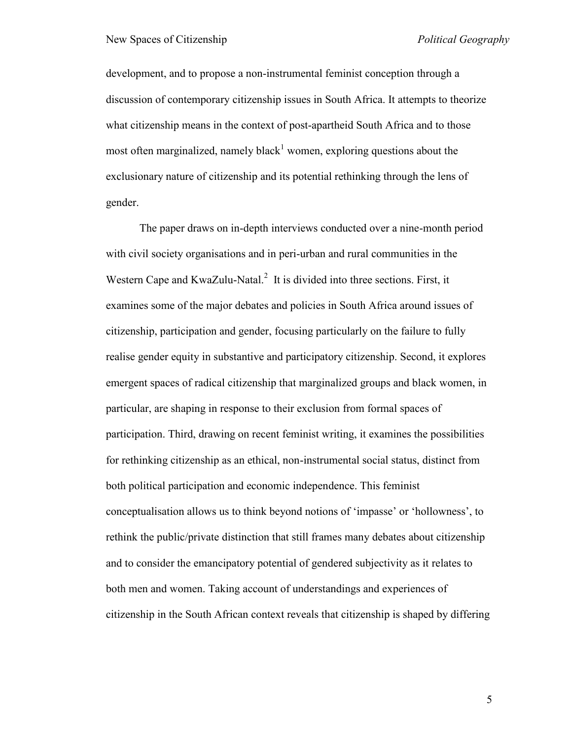development, and to propose a non-instrumental feminist conception through a discussion of contemporary citizenship issues in South Africa. It attempts to theorize what citizenship means in the context of post-apartheid South Africa and to those most often marginalized, namely black<sup>1</sup> women, exploring questions about the exclusionary nature of citizenship and its potential rethinking through the lens of gender.

The paper draws on in-depth interviews conducted over a nine-month period with civil society organisations and in peri-urban and rural communities in the Western Cape and KwaZulu-Natal.<sup>2</sup> It is divided into three sections. First, it examines some of the major debates and policies in South Africa around issues of citizenship, participation and gender, focusing particularly on the failure to fully realise gender equity in substantive and participatory citizenship. Second, it explores emergent spaces of radical citizenship that marginalized groups and black women, in particular, are shaping in response to their exclusion from formal spaces of participation. Third, drawing on recent feminist writing, it examines the possibilities for rethinking citizenship as an ethical, non-instrumental social status, distinct from both political participation and economic independence. This feminist conceptualisation allows us to think beyond notions of "impasse" or "hollowness", to rethink the public/private distinction that still frames many debates about citizenship and to consider the emancipatory potential of gendered subjectivity as it relates to both men and women. Taking account of understandings and experiences of citizenship in the South African context reveals that citizenship is shaped by differing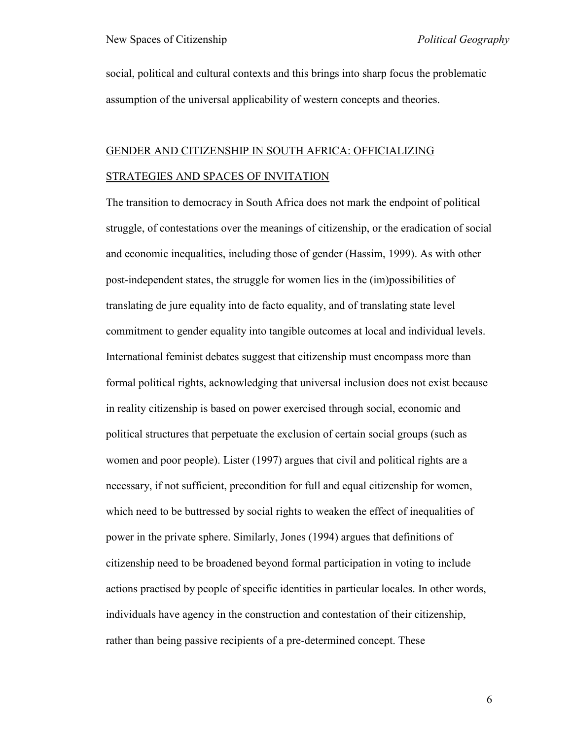social, political and cultural contexts and this brings into sharp focus the problematic assumption of the universal applicability of western concepts and theories.

## GENDER AND CITIZENSHIP IN SOUTH AFRICA: OFFICIALIZING STRATEGIES AND SPACES OF INVITATION

The transition to democracy in South Africa does not mark the endpoint of political struggle, of contestations over the meanings of citizenship, or the eradication of social and economic inequalities, including those of gender (Hassim, 1999). As with other post-independent states, the struggle for women lies in the (im)possibilities of translating de jure equality into de facto equality, and of translating state level commitment to gender equality into tangible outcomes at local and individual levels. International feminist debates suggest that citizenship must encompass more than formal political rights, acknowledging that universal inclusion does not exist because in reality citizenship is based on power exercised through social, economic and political structures that perpetuate the exclusion of certain social groups (such as women and poor people). Lister (1997) argues that civil and political rights are a necessary, if not sufficient, precondition for full and equal citizenship for women, which need to be buttressed by social rights to weaken the effect of inequalities of power in the private sphere. Similarly, Jones (1994) argues that definitions of citizenship need to be broadened beyond formal participation in voting to include actions practised by people of specific identities in particular locales. In other words, individuals have agency in the construction and contestation of their citizenship, rather than being passive recipients of a pre-determined concept. These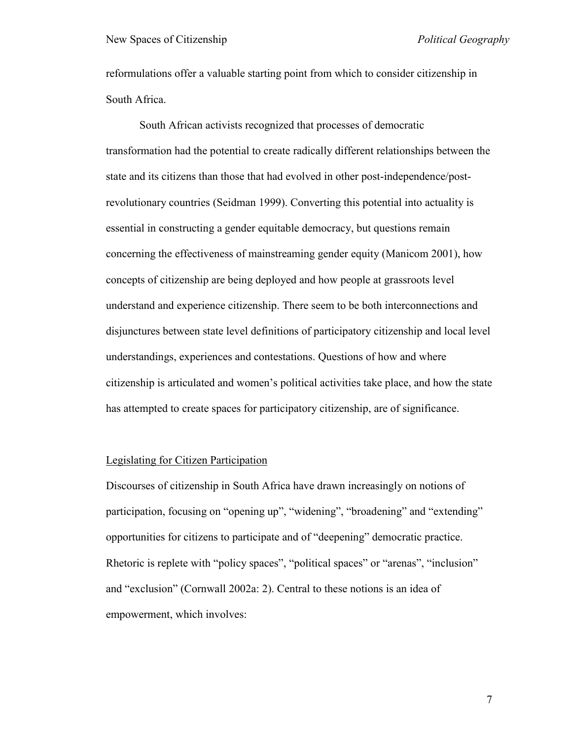reformulations offer a valuable starting point from which to consider citizenship in South Africa.

South African activists recognized that processes of democratic transformation had the potential to create radically different relationships between the state and its citizens than those that had evolved in other post-independence/postrevolutionary countries (Seidman 1999). Converting this potential into actuality is essential in constructing a gender equitable democracy, but questions remain concerning the effectiveness of mainstreaming gender equity (Manicom 2001), how concepts of citizenship are being deployed and how people at grassroots level understand and experience citizenship. There seem to be both interconnections and disjunctures between state level definitions of participatory citizenship and local level understandings, experiences and contestations. Questions of how and where citizenship is articulated and women"s political activities take place, and how the state has attempted to create spaces for participatory citizenship, are of significance.

## Legislating for Citizen Participation

Discourses of citizenship in South Africa have drawn increasingly on notions of participation, focusing on "opening up", "widening", "broadening" and "extending" opportunities for citizens to participate and of "deepening" democratic practice. Rhetoric is replete with "policy spaces", "political spaces" or "arenas", "inclusion" and "exclusion" (Cornwall 2002a: 2). Central to these notions is an idea of empowerment, which involves: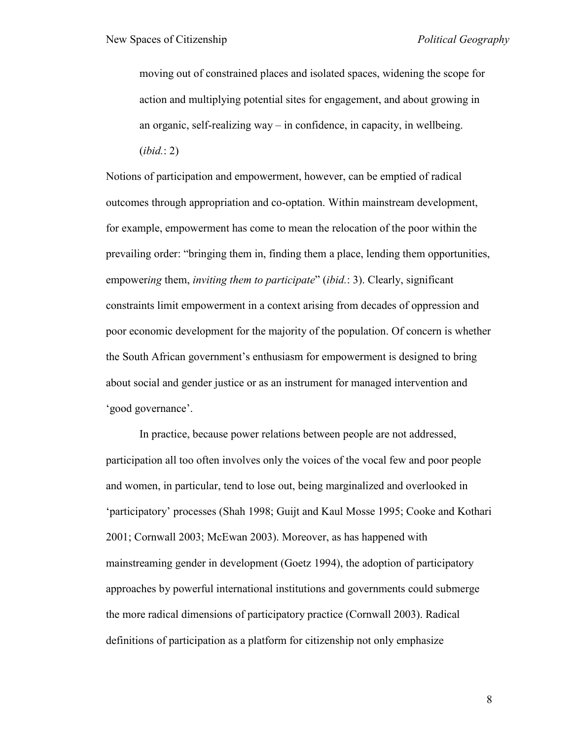moving out of constrained places and isolated spaces, widening the scope for action and multiplying potential sites for engagement, and about growing in an organic, self-realizing way – in confidence, in capacity, in wellbeing. (*ibid.*: 2)

Notions of participation and empowerment, however, can be emptied of radical outcomes through appropriation and co-optation. Within mainstream development, for example, empowerment has come to mean the relocation of the poor within the prevailing order: "bringing them in, finding them a place, lending them opportunities, empower*ing* them, *inviting them to participate*" (*ibid.*: 3). Clearly, significant constraints limit empowerment in a context arising from decades of oppression and poor economic development for the majority of the population. Of concern is whether the South African government"s enthusiasm for empowerment is designed to bring about social and gender justice or as an instrument for managed intervention and 'good governance'.

In practice, because power relations between people are not addressed, participation all too often involves only the voices of the vocal few and poor people and women, in particular, tend to lose out, being marginalized and overlooked in 'participatory' processes (Shah 1998; Guijt and Kaul Mosse 1995; Cooke and Kothari 2001; Cornwall 2003; McEwan 2003). Moreover, as has happened with mainstreaming gender in development (Goetz 1994), the adoption of participatory approaches by powerful international institutions and governments could submerge the more radical dimensions of participatory practice (Cornwall 2003). Radical definitions of participation as a platform for citizenship not only emphasize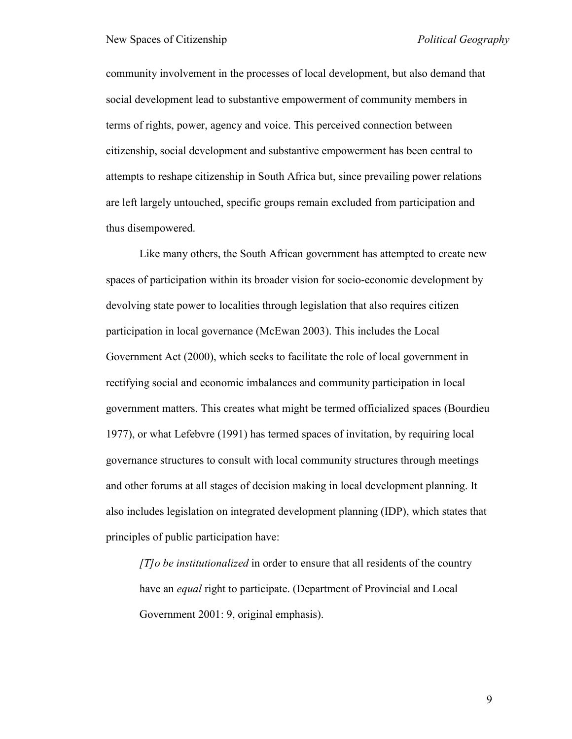community involvement in the processes of local development, but also demand that social development lead to substantive empowerment of community members in terms of rights, power, agency and voice. This perceived connection between citizenship, social development and substantive empowerment has been central to attempts to reshape citizenship in South Africa but, since prevailing power relations are left largely untouched, specific groups remain excluded from participation and thus disempowered.

Like many others, the South African government has attempted to create new spaces of participation within its broader vision for socio-economic development by devolving state power to localities through legislation that also requires citizen participation in local governance (McEwan 2003). This includes the Local Government Act (2000), which seeks to facilitate the role of local government in rectifying social and economic imbalances and community participation in local government matters. This creates what might be termed officialized spaces (Bourdieu 1977), or what Lefebvre (1991) has termed spaces of invitation, by requiring local governance structures to consult with local community structures through meetings and other forums at all stages of decision making in local development planning. It also includes legislation on integrated development planning (IDP), which states that principles of public participation have:

*[T]o be institutionalized* in order to ensure that all residents of the country have an *equal* right to participate. (Department of Provincial and Local Government 2001: 9, original emphasis).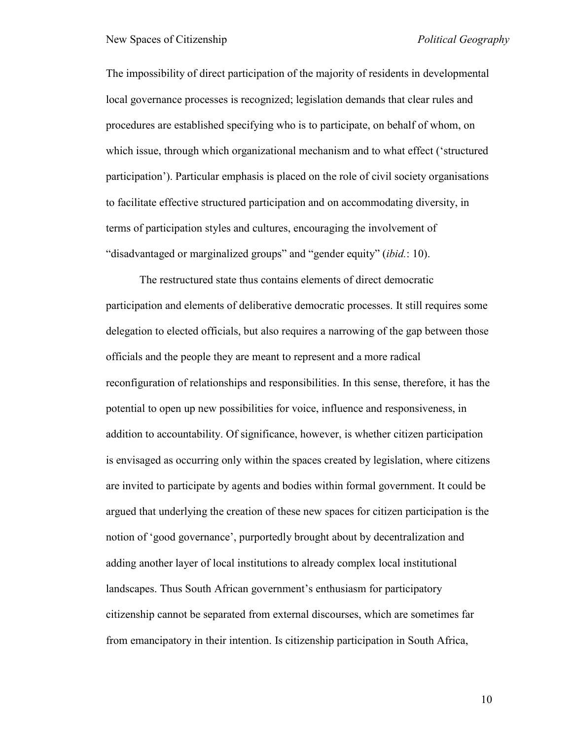The impossibility of direct participation of the majority of residents in developmental local governance processes is recognized; legislation demands that clear rules and procedures are established specifying who is to participate, on behalf of whom, on which issue, through which organizational mechanism and to what effect ("structured participation"). Particular emphasis is placed on the role of civil society organisations to facilitate effective structured participation and on accommodating diversity, in terms of participation styles and cultures, encouraging the involvement of "disadvantaged or marginalized groups" and "gender equity" (*ibid.*: 10).

The restructured state thus contains elements of direct democratic participation and elements of deliberative democratic processes. It still requires some delegation to elected officials, but also requires a narrowing of the gap between those officials and the people they are meant to represent and a more radical reconfiguration of relationships and responsibilities. In this sense, therefore, it has the potential to open up new possibilities for voice, influence and responsiveness, in addition to accountability. Of significance, however, is whether citizen participation is envisaged as occurring only within the spaces created by legislation, where citizens are invited to participate by agents and bodies within formal government. It could be argued that underlying the creation of these new spaces for citizen participation is the notion of "good governance", purportedly brought about by decentralization and adding another layer of local institutions to already complex local institutional landscapes. Thus South African government's enthusiasm for participatory citizenship cannot be separated from external discourses, which are sometimes far from emancipatory in their intention. Is citizenship participation in South Africa,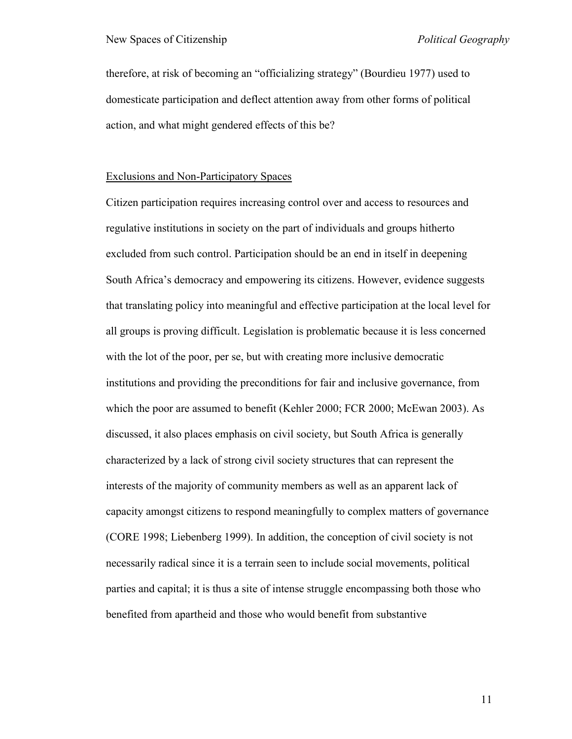therefore, at risk of becoming an "officializing strategy" (Bourdieu 1977) used to domesticate participation and deflect attention away from other forms of political action, and what might gendered effects of this be?

#### Exclusions and Non-Participatory Spaces

Citizen participation requires increasing control over and access to resources and regulative institutions in society on the part of individuals and groups hitherto excluded from such control. Participation should be an end in itself in deepening South Africa"s democracy and empowering its citizens. However, evidence suggests that translating policy into meaningful and effective participation at the local level for all groups is proving difficult. Legislation is problematic because it is less concerned with the lot of the poor, per se, but with creating more inclusive democratic institutions and providing the preconditions for fair and inclusive governance, from which the poor are assumed to benefit (Kehler 2000; FCR 2000; McEwan 2003). As discussed, it also places emphasis on civil society, but South Africa is generally characterized by a lack of strong civil society structures that can represent the interests of the majority of community members as well as an apparent lack of capacity amongst citizens to respond meaningfully to complex matters of governance (CORE 1998; Liebenberg 1999). In addition, the conception of civil society is not necessarily radical since it is a terrain seen to include social movements, political parties and capital; it is thus a site of intense struggle encompassing both those who benefited from apartheid and those who would benefit from substantive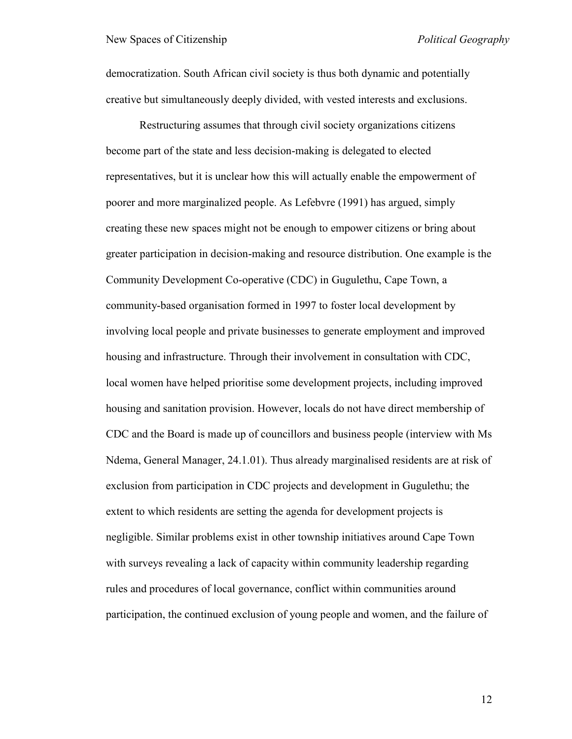democratization. South African civil society is thus both dynamic and potentially creative but simultaneously deeply divided, with vested interests and exclusions.

Restructuring assumes that through civil society organizations citizens become part of the state and less decision-making is delegated to elected representatives, but it is unclear how this will actually enable the empowerment of poorer and more marginalized people. As Lefebvre (1991) has argued, simply creating these new spaces might not be enough to empower citizens or bring about greater participation in decision-making and resource distribution. One example is the Community Development Co-operative (CDC) in Gugulethu, Cape Town, a community-based organisation formed in 1997 to foster local development by involving local people and private businesses to generate employment and improved housing and infrastructure. Through their involvement in consultation with CDC, local women have helped prioritise some development projects, including improved housing and sanitation provision. However, locals do not have direct membership of CDC and the Board is made up of councillors and business people (interview with Ms Ndema, General Manager, 24.1.01). Thus already marginalised residents are at risk of exclusion from participation in CDC projects and development in Gugulethu; the extent to which residents are setting the agenda for development projects is negligible. Similar problems exist in other township initiatives around Cape Town with surveys revealing a lack of capacity within community leadership regarding rules and procedures of local governance, conflict within communities around participation, the continued exclusion of young people and women, and the failure of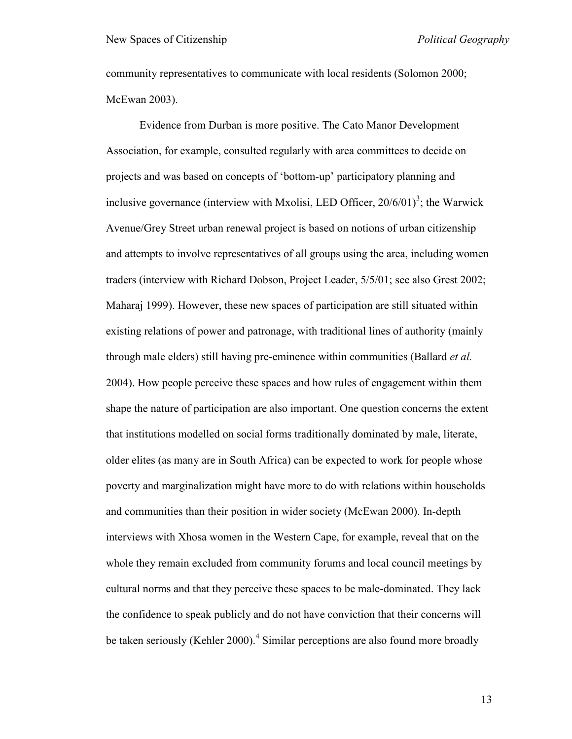community representatives to communicate with local residents (Solomon 2000; McEwan 2003).

Evidence from Durban is more positive. The Cato Manor Development Association, for example, consulted regularly with area committees to decide on projects and was based on concepts of "bottom-up" participatory planning and inclusive governance (interview with Mxolisi, LED Officer,  $20/6/01$ <sup>3</sup>; the Warwick Avenue/Grey Street urban renewal project is based on notions of urban citizenship and attempts to involve representatives of all groups using the area, including women traders (interview with Richard Dobson, Project Leader, 5/5/01; see also Grest 2002; Maharaj 1999). However, these new spaces of participation are still situated within existing relations of power and patronage, with traditional lines of authority (mainly through male elders) still having pre-eminence within communities (Ballard *et al.* 2004). How people perceive these spaces and how rules of engagement within them shape the nature of participation are also important. One question concerns the extent that institutions modelled on social forms traditionally dominated by male, literate, older elites (as many are in South Africa) can be expected to work for people whose poverty and marginalization might have more to do with relations within households and communities than their position in wider society (McEwan 2000). In-depth interviews with Xhosa women in the Western Cape, for example, reveal that on the whole they remain excluded from community forums and local council meetings by cultural norms and that they perceive these spaces to be male-dominated. They lack the confidence to speak publicly and do not have conviction that their concerns will be taken seriously (Kehler 2000).<sup>4</sup> Similar perceptions are also found more broadly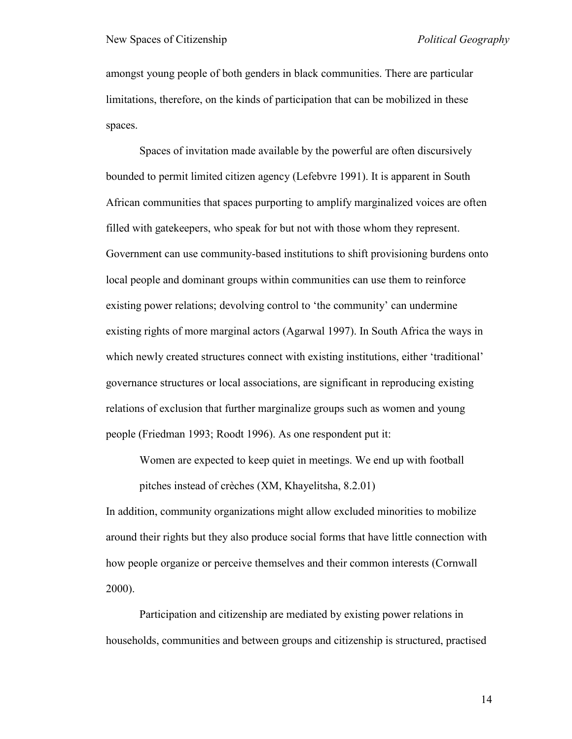amongst young people of both genders in black communities. There are particular limitations, therefore, on the kinds of participation that can be mobilized in these spaces.

Spaces of invitation made available by the powerful are often discursively bounded to permit limited citizen agency (Lefebvre 1991). It is apparent in South African communities that spaces purporting to amplify marginalized voices are often filled with gatekeepers, who speak for but not with those whom they represent. Government can use community-based institutions to shift provisioning burdens onto local people and dominant groups within communities can use them to reinforce existing power relations; devolving control to 'the community' can undermine existing rights of more marginal actors (Agarwal 1997). In South Africa the ways in which newly created structures connect with existing institutions, either 'traditional' governance structures or local associations, are significant in reproducing existing relations of exclusion that further marginalize groups such as women and young people (Friedman 1993; Roodt 1996). As one respondent put it:

Women are expected to keep quiet in meetings. We end up with football

pitches instead of crèches (XM, Khayelitsha, 8.2.01)

In addition, community organizations might allow excluded minorities to mobilize around their rights but they also produce social forms that have little connection with how people organize or perceive themselves and their common interests (Cornwall 2000).

Participation and citizenship are mediated by existing power relations in households, communities and between groups and citizenship is structured, practised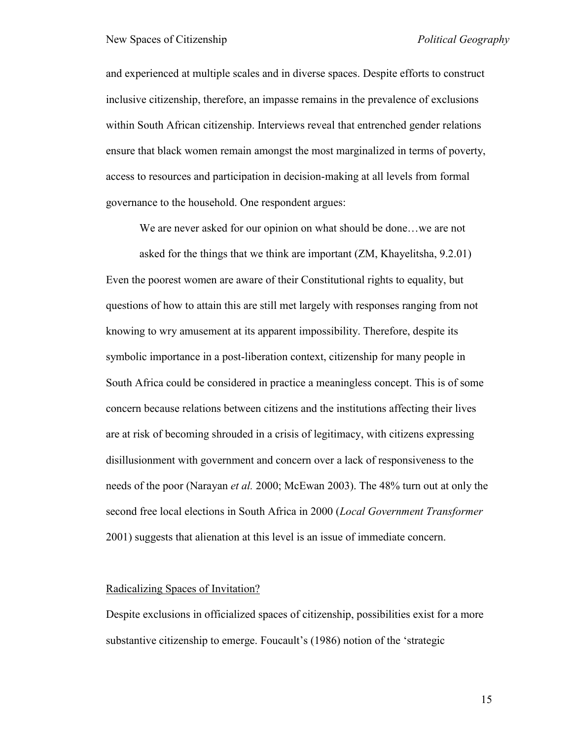and experienced at multiple scales and in diverse spaces. Despite efforts to construct inclusive citizenship, therefore, an impasse remains in the prevalence of exclusions within South African citizenship. Interviews reveal that entrenched gender relations ensure that black women remain amongst the most marginalized in terms of poverty, access to resources and participation in decision-making at all levels from formal governance to the household. One respondent argues:

We are never asked for our opinion on what should be done…we are not

asked for the things that we think are important (ZM, Khayelitsha, 9.2.01) Even the poorest women are aware of their Constitutional rights to equality, but questions of how to attain this are still met largely with responses ranging from not knowing to wry amusement at its apparent impossibility. Therefore, despite its symbolic importance in a post-liberation context, citizenship for many people in South Africa could be considered in practice a meaningless concept. This is of some concern because relations between citizens and the institutions affecting their lives are at risk of becoming shrouded in a crisis of legitimacy, with citizens expressing disillusionment with government and concern over a lack of responsiveness to the needs of the poor (Narayan *et al.* 2000; McEwan 2003). The 48% turn out at only the second free local elections in South Africa in 2000 (*Local Government Transformer* 2001) suggests that alienation at this level is an issue of immediate concern.

#### Radicalizing Spaces of Invitation?

Despite exclusions in officialized spaces of citizenship, possibilities exist for a more substantive citizenship to emerge. Foucault's (1986) notion of the 'strategic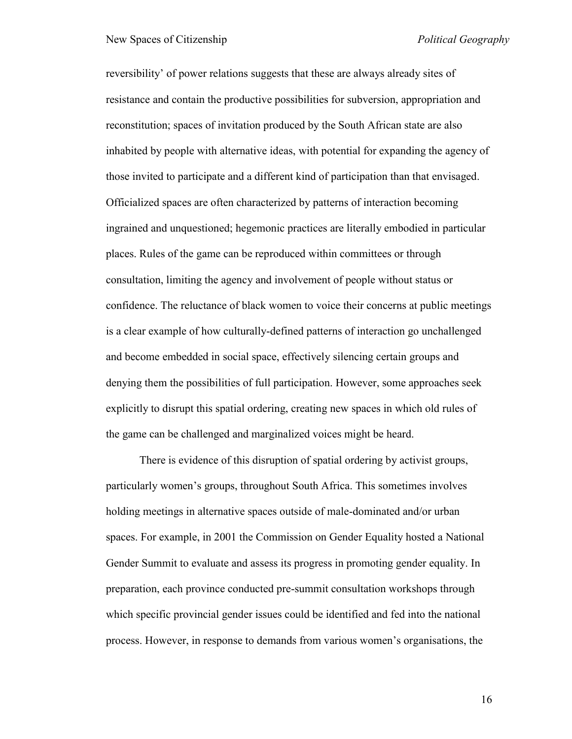reversibility" of power relations suggests that these are always already sites of resistance and contain the productive possibilities for subversion, appropriation and reconstitution; spaces of invitation produced by the South African state are also inhabited by people with alternative ideas, with potential for expanding the agency of those invited to participate and a different kind of participation than that envisaged. Officialized spaces are often characterized by patterns of interaction becoming ingrained and unquestioned; hegemonic practices are literally embodied in particular places. Rules of the game can be reproduced within committees or through consultation, limiting the agency and involvement of people without status or confidence. The reluctance of black women to voice their concerns at public meetings is a clear example of how culturally-defined patterns of interaction go unchallenged and become embedded in social space, effectively silencing certain groups and denying them the possibilities of full participation. However, some approaches seek explicitly to disrupt this spatial ordering, creating new spaces in which old rules of the game can be challenged and marginalized voices might be heard.

There is evidence of this disruption of spatial ordering by activist groups, particularly women"s groups, throughout South Africa. This sometimes involves holding meetings in alternative spaces outside of male-dominated and/or urban spaces. For example, in 2001 the Commission on Gender Equality hosted a National Gender Summit to evaluate and assess its progress in promoting gender equality. In preparation, each province conducted pre-summit consultation workshops through which specific provincial gender issues could be identified and fed into the national process. However, in response to demands from various women"s organisations, the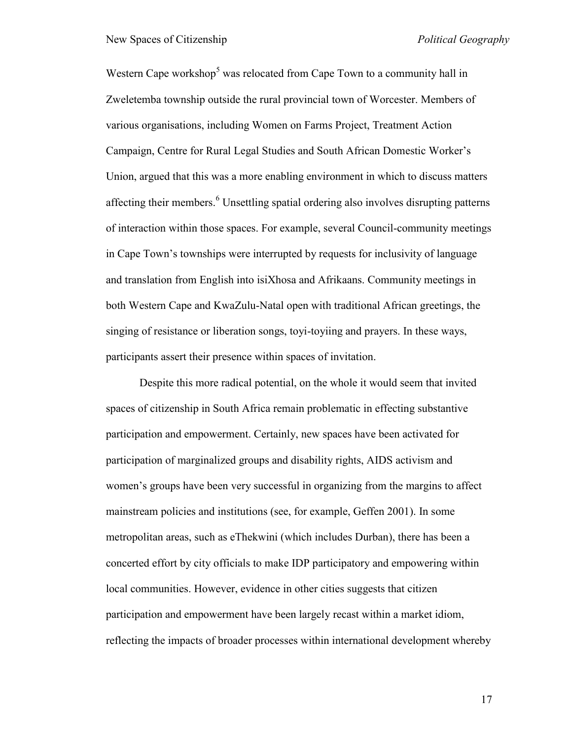Western Cape workshop<sup>5</sup> was relocated from Cape Town to a community hall in Zweletemba township outside the rural provincial town of Worcester. Members of various organisations, including Women on Farms Project, Treatment Action Campaign, Centre for Rural Legal Studies and South African Domestic Worker"s Union, argued that this was a more enabling environment in which to discuss matters affecting their members.<sup>6</sup> Unsettling spatial ordering also involves disrupting patterns of interaction within those spaces. For example, several Council-community meetings in Cape Town"s townships were interrupted by requests for inclusivity of language and translation from English into isiXhosa and Afrikaans. Community meetings in both Western Cape and KwaZulu-Natal open with traditional African greetings, the singing of resistance or liberation songs, toyi-toyiing and prayers. In these ways, participants assert their presence within spaces of invitation.

Despite this more radical potential, on the whole it would seem that invited spaces of citizenship in South Africa remain problematic in effecting substantive participation and empowerment. Certainly, new spaces have been activated for participation of marginalized groups and disability rights, AIDS activism and women"s groups have been very successful in organizing from the margins to affect mainstream policies and institutions (see, for example, Geffen 2001). In some metropolitan areas, such as eThekwini (which includes Durban), there has been a concerted effort by city officials to make IDP participatory and empowering within local communities. However, evidence in other cities suggests that citizen participation and empowerment have been largely recast within a market idiom, reflecting the impacts of broader processes within international development whereby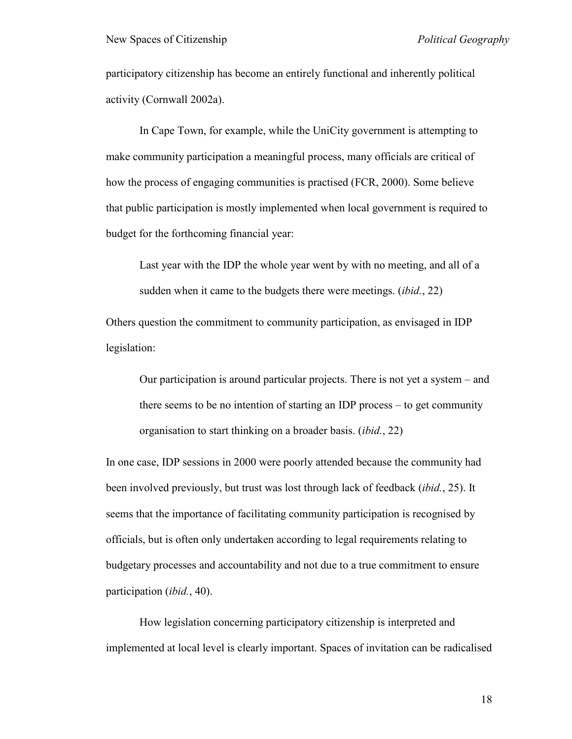participatory citizenship has become an entirely functional and inherently political activity (Cornwall 2002a).

In Cape Town, for example, while the UniCity government is attempting to make community participation a meaningful process, many officials are critical of how the process of engaging communities is practised (FCR, 2000). Some believe that public participation is mostly implemented when local government is required to budget for the forthcoming financial year:

Last year with the IDP the whole year went by with no meeting, and all of a sudden when it came to the budgets there were meetings. (*ibid.*, 22)

Others question the commitment to community participation, as envisaged in IDP legislation:

Our participation is around particular projects. There is not yet a system – and there seems to be no intention of starting an IDP process – to get community organisation to start thinking on a broader basis. (*ibid.*, 22)

In one case, IDP sessions in 2000 were poorly attended because the community had been involved previously, but trust was lost through lack of feedback (*ibid.*, 25). It seems that the importance of facilitating community participation is recognised by officials, but is often only undertaken according to legal requirements relating to budgetary processes and accountability and not due to a true commitment to ensure participation (*ibid.*, 40).

How legislation concerning participatory citizenship is interpreted and implemented at local level is clearly important. Spaces of invitation can be radicalised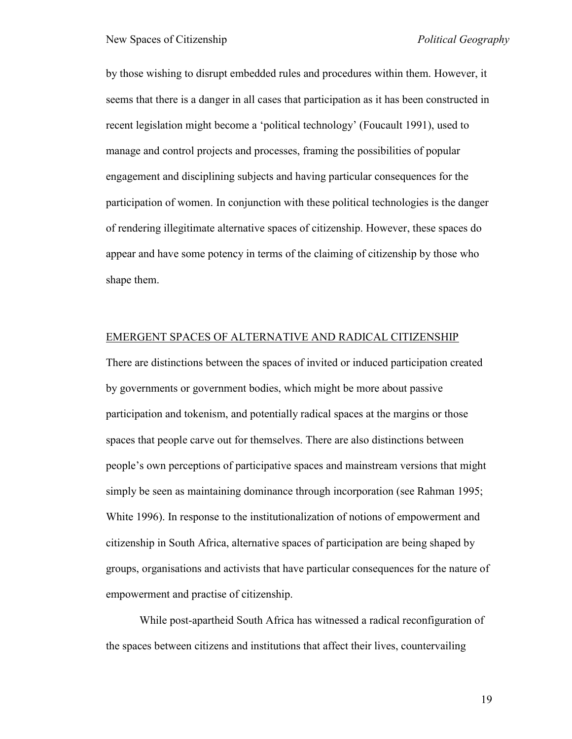by those wishing to disrupt embedded rules and procedures within them. However, it seems that there is a danger in all cases that participation as it has been constructed in recent legislation might become a "political technology" (Foucault 1991), used to manage and control projects and processes, framing the possibilities of popular engagement and disciplining subjects and having particular consequences for the participation of women. In conjunction with these political technologies is the danger of rendering illegitimate alternative spaces of citizenship. However, these spaces do appear and have some potency in terms of the claiming of citizenship by those who shape them.

#### EMERGENT SPACES OF ALTERNATIVE AND RADICAL CITIZENSHIP

There are distinctions between the spaces of invited or induced participation created by governments or government bodies, which might be more about passive participation and tokenism, and potentially radical spaces at the margins or those spaces that people carve out for themselves. There are also distinctions between people"s own perceptions of participative spaces and mainstream versions that might simply be seen as maintaining dominance through incorporation (see Rahman 1995; White 1996). In response to the institutionalization of notions of empowerment and citizenship in South Africa, alternative spaces of participation are being shaped by groups, organisations and activists that have particular consequences for the nature of empowerment and practise of citizenship.

While post-apartheid South Africa has witnessed a radical reconfiguration of the spaces between citizens and institutions that affect their lives, countervailing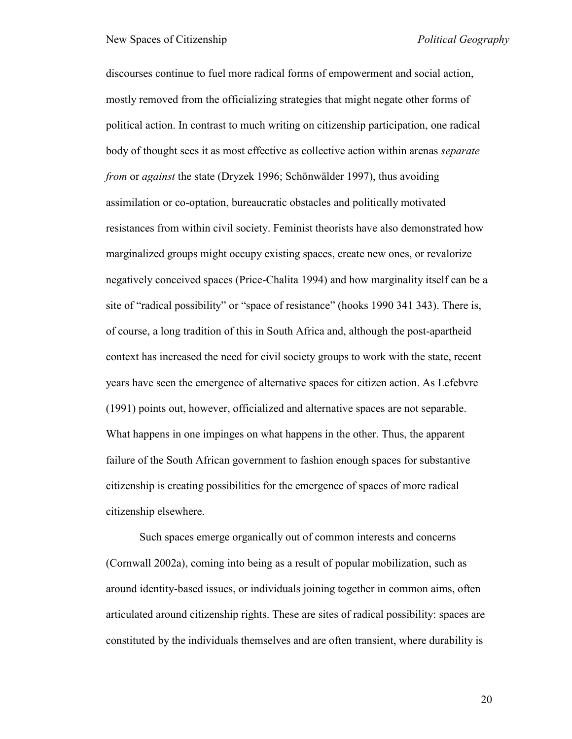discourses continue to fuel more radical forms of empowerment and social action, mostly removed from the officializing strategies that might negate other forms of political action. In contrast to much writing on citizenship participation, one radical body of thought sees it as most effective as collective action within arenas *separate from* or *against* the state (Dryzek 1996; Schönwälder 1997), thus avoiding assimilation or co-optation, bureaucratic obstacles and politically motivated resistances from within civil society. Feminist theorists have also demonstrated how marginalized groups might occupy existing spaces, create new ones, or revalorize negatively conceived spaces (Price-Chalita 1994) and how marginality itself can be a site of "radical possibility" or "space of resistance" (hooks 1990 341 343). There is, of course, a long tradition of this in South Africa and, although the post-apartheid context has increased the need for civil society groups to work with the state, recent years have seen the emergence of alternative spaces for citizen action. As Lefebvre (1991) points out, however, officialized and alternative spaces are not separable. What happens in one impinges on what happens in the other. Thus, the apparent failure of the South African government to fashion enough spaces for substantive citizenship is creating possibilities for the emergence of spaces of more radical citizenship elsewhere.

Such spaces emerge organically out of common interests and concerns (Cornwall 2002a), coming into being as a result of popular mobilization, such as around identity-based issues, or individuals joining together in common aims, often articulated around citizenship rights. These are sites of radical possibility: spaces are constituted by the individuals themselves and are often transient, where durability is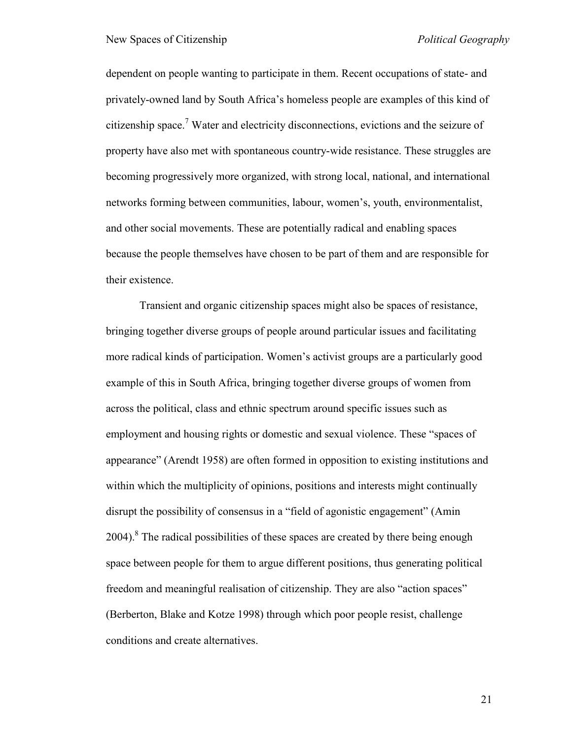dependent on people wanting to participate in them. Recent occupations of state- and privately-owned land by South Africa"s homeless people are examples of this kind of citizenship space.<sup>7</sup> Water and electricity disconnections, evictions and the seizure of property have also met with spontaneous country-wide resistance. These struggles are becoming progressively more organized, with strong local, national, and international networks forming between communities, labour, women"s, youth, environmentalist, and other social movements. These are potentially radical and enabling spaces because the people themselves have chosen to be part of them and are responsible for their existence.

Transient and organic citizenship spaces might also be spaces of resistance, bringing together diverse groups of people around particular issues and facilitating more radical kinds of participation. Women"s activist groups are a particularly good example of this in South Africa, bringing together diverse groups of women from across the political, class and ethnic spectrum around specific issues such as employment and housing rights or domestic and sexual violence. These "spaces of appearance" (Arendt 1958) are often formed in opposition to existing institutions and within which the multiplicity of opinions, positions and interests might continually disrupt the possibility of consensus in a "field of agonistic engagement" (Amin 2004). $8$  The radical possibilities of these spaces are created by there being enough space between people for them to argue different positions, thus generating political freedom and meaningful realisation of citizenship. They are also "action spaces" (Berberton, Blake and Kotze 1998) through which poor people resist, challenge conditions and create alternatives.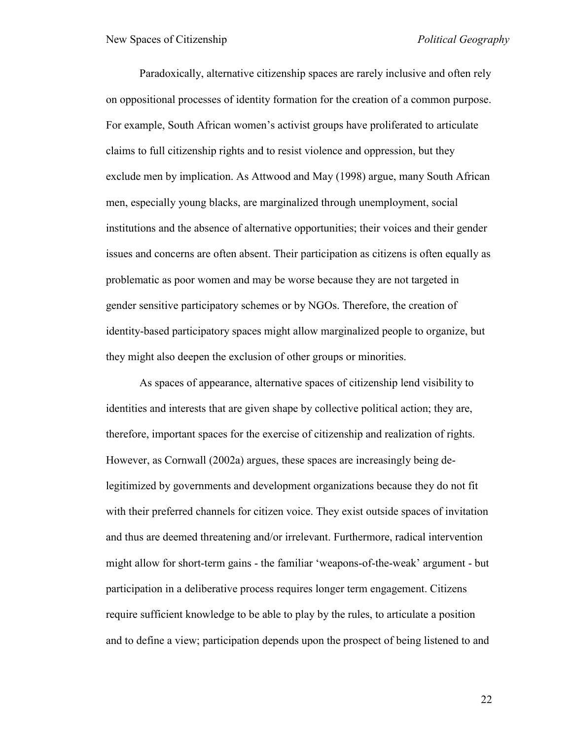Paradoxically, alternative citizenship spaces are rarely inclusive and often rely on oppositional processes of identity formation for the creation of a common purpose. For example, South African women"s activist groups have proliferated to articulate claims to full citizenship rights and to resist violence and oppression, but they exclude men by implication. As Attwood and May (1998) argue, many South African men, especially young blacks, are marginalized through unemployment, social institutions and the absence of alternative opportunities; their voices and their gender issues and concerns are often absent. Their participation as citizens is often equally as problematic as poor women and may be worse because they are not targeted in gender sensitive participatory schemes or by NGOs. Therefore, the creation of identity-based participatory spaces might allow marginalized people to organize, but they might also deepen the exclusion of other groups or minorities.

As spaces of appearance, alternative spaces of citizenship lend visibility to identities and interests that are given shape by collective political action; they are, therefore, important spaces for the exercise of citizenship and realization of rights. However, as Cornwall (2002a) argues, these spaces are increasingly being delegitimized by governments and development organizations because they do not fit with their preferred channels for citizen voice. They exist outside spaces of invitation and thus are deemed threatening and/or irrelevant. Furthermore, radical intervention might allow for short-term gains - the familiar "weapons-of-the-weak" argument - but participation in a deliberative process requires longer term engagement. Citizens require sufficient knowledge to be able to play by the rules, to articulate a position and to define a view; participation depends upon the prospect of being listened to and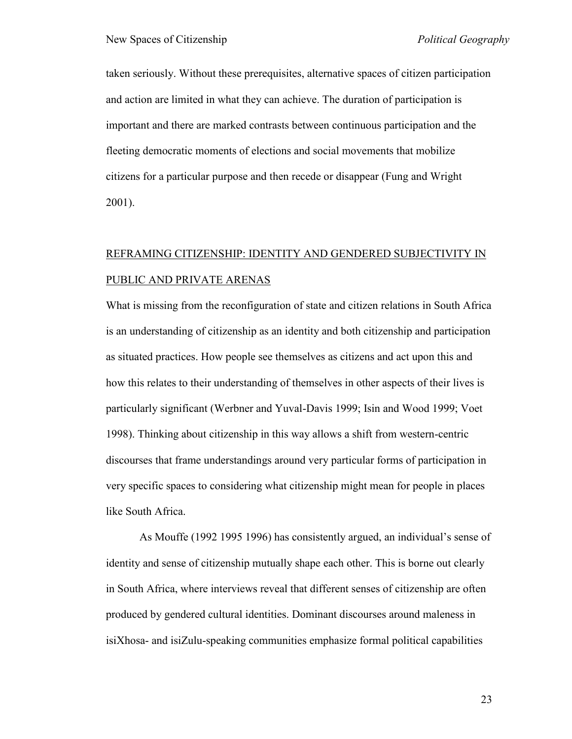taken seriously. Without these prerequisites, alternative spaces of citizen participation and action are limited in what they can achieve. The duration of participation is important and there are marked contrasts between continuous participation and the fleeting democratic moments of elections and social movements that mobilize citizens for a particular purpose and then recede or disappear (Fung and Wright 2001).

# REFRAMING CITIZENSHIP: IDENTITY AND GENDERED SUBJECTIVITY IN PUBLIC AND PRIVATE ARENAS

What is missing from the reconfiguration of state and citizen relations in South Africa is an understanding of citizenship as an identity and both citizenship and participation as situated practices. How people see themselves as citizens and act upon this and how this relates to their understanding of themselves in other aspects of their lives is particularly significant (Werbner and Yuval-Davis 1999; Isin and Wood 1999; Voet 1998). Thinking about citizenship in this way allows a shift from western-centric discourses that frame understandings around very particular forms of participation in very specific spaces to considering what citizenship might mean for people in places like South Africa.

As Mouffe (1992 1995 1996) has consistently argued, an individual's sense of identity and sense of citizenship mutually shape each other. This is borne out clearly in South Africa, where interviews reveal that different senses of citizenship are often produced by gendered cultural identities. Dominant discourses around maleness in isiXhosa- and isiZulu-speaking communities emphasize formal political capabilities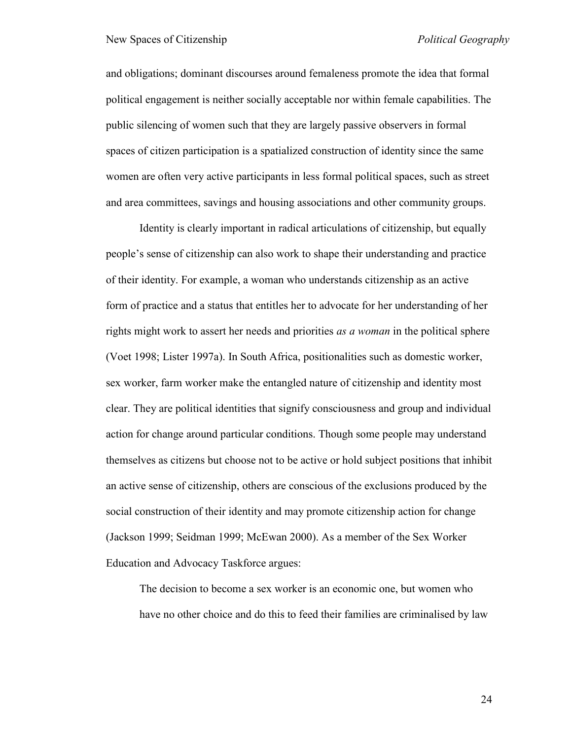and obligations; dominant discourses around femaleness promote the idea that formal political engagement is neither socially acceptable nor within female capabilities. The public silencing of women such that they are largely passive observers in formal spaces of citizen participation is a spatialized construction of identity since the same women are often very active participants in less formal political spaces, such as street and area committees, savings and housing associations and other community groups.

Identity is clearly important in radical articulations of citizenship, but equally people"s sense of citizenship can also work to shape their understanding and practice of their identity. For example, a woman who understands citizenship as an active form of practice and a status that entitles her to advocate for her understanding of her rights might work to assert her needs and priorities *as a woman* in the political sphere (Voet 1998; Lister 1997a). In South Africa, positionalities such as domestic worker, sex worker, farm worker make the entangled nature of citizenship and identity most clear. They are political identities that signify consciousness and group and individual action for change around particular conditions. Though some people may understand themselves as citizens but choose not to be active or hold subject positions that inhibit an active sense of citizenship, others are conscious of the exclusions produced by the social construction of their identity and may promote citizenship action for change (Jackson 1999; Seidman 1999; McEwan 2000). As a member of the Sex Worker Education and Advocacy Taskforce argues:

The decision to become a sex worker is an economic one, but women who have no other choice and do this to feed their families are criminalised by law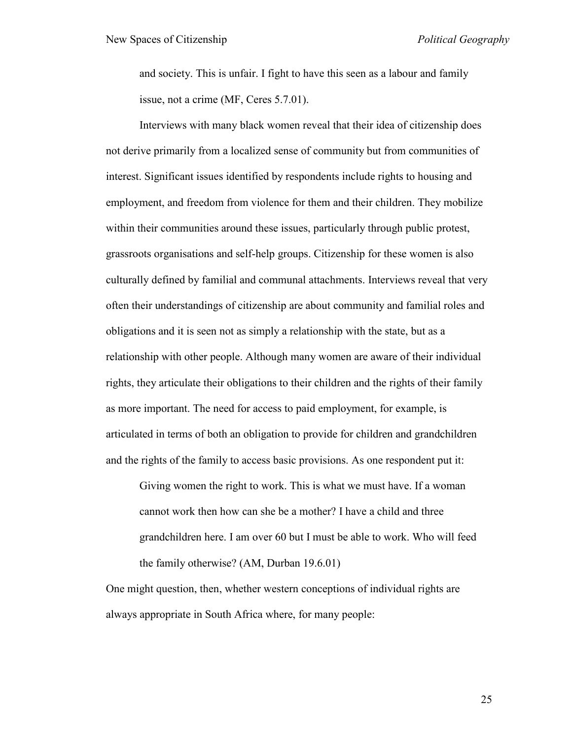and society. This is unfair. I fight to have this seen as a labour and family issue, not a crime (MF, Ceres 5.7.01).

Interviews with many black women reveal that their idea of citizenship does not derive primarily from a localized sense of community but from communities of interest. Significant issues identified by respondents include rights to housing and employment, and freedom from violence for them and their children. They mobilize within their communities around these issues, particularly through public protest, grassroots organisations and self-help groups. Citizenship for these women is also culturally defined by familial and communal attachments. Interviews reveal that very often their understandings of citizenship are about community and familial roles and obligations and it is seen not as simply a relationship with the state, but as a relationship with other people. Although many women are aware of their individual rights, they articulate their obligations to their children and the rights of their family as more important. The need for access to paid employment, for example, is articulated in terms of both an obligation to provide for children and grandchildren and the rights of the family to access basic provisions. As one respondent put it:

Giving women the right to work. This is what we must have. If a woman cannot work then how can she be a mother? I have a child and three grandchildren here. I am over 60 but I must be able to work. Who will feed the family otherwise? (AM, Durban 19.6.01)

One might question, then, whether western conceptions of individual rights are always appropriate in South Africa where, for many people: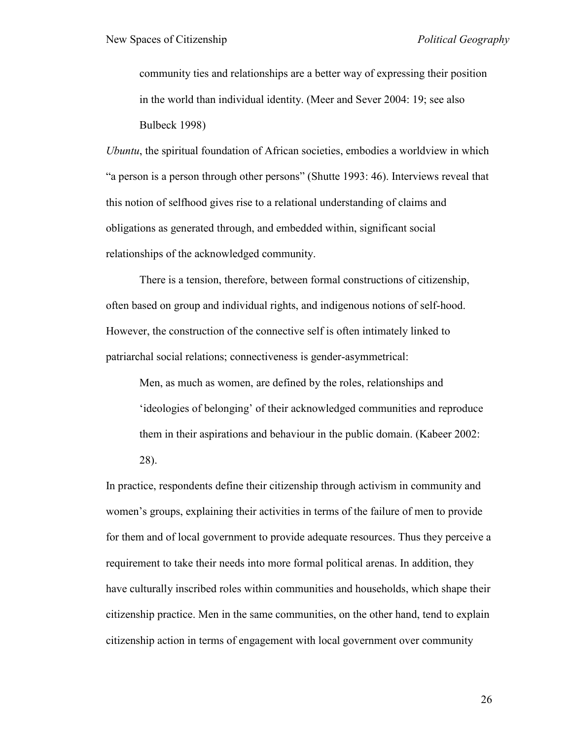community ties and relationships are a better way of expressing their position in the world than individual identity. (Meer and Sever 2004: 19; see also Bulbeck 1998)

*Ubuntu*, the spiritual foundation of African societies, embodies a worldview in which "a person is a person through other persons" (Shutte 1993: 46). Interviews reveal that this notion of selfhood gives rise to a relational understanding of claims and obligations as generated through, and embedded within, significant social relationships of the acknowledged community.

There is a tension, therefore, between formal constructions of citizenship, often based on group and individual rights, and indigenous notions of self-hood. However, the construction of the connective self is often intimately linked to patriarchal social relations; connectiveness is gender-asymmetrical:

Men, as much as women, are defined by the roles, relationships and "ideologies of belonging" of their acknowledged communities and reproduce them in their aspirations and behaviour in the public domain. (Kabeer 2002: 28).

In practice, respondents define their citizenship through activism in community and women"s groups, explaining their activities in terms of the failure of men to provide for them and of local government to provide adequate resources. Thus they perceive a requirement to take their needs into more formal political arenas. In addition, they have culturally inscribed roles within communities and households, which shape their citizenship practice. Men in the same communities, on the other hand, tend to explain citizenship action in terms of engagement with local government over community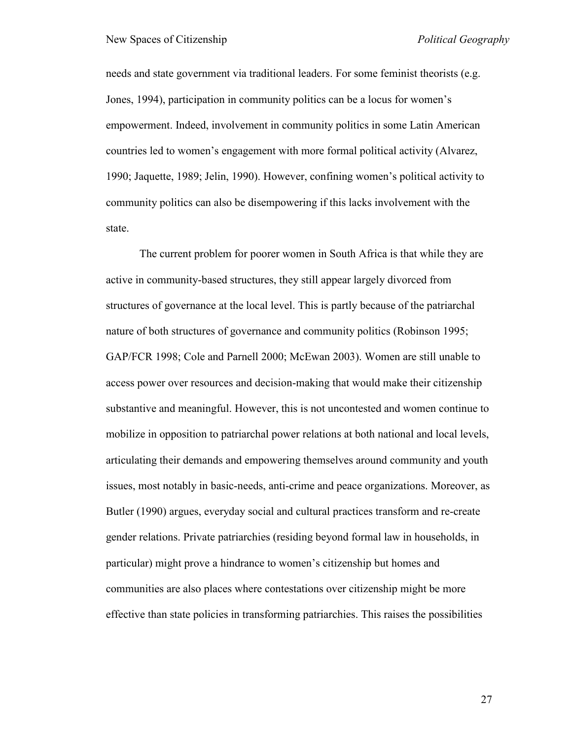needs and state government via traditional leaders. For some feminist theorists (e.g. Jones, 1994), participation in community politics can be a locus for women"s empowerment. Indeed, involvement in community politics in some Latin American countries led to women"s engagement with more formal political activity (Alvarez, 1990; Jaquette, 1989; Jelin, 1990). However, confining women"s political activity to community politics can also be disempowering if this lacks involvement with the state.

The current problem for poorer women in South Africa is that while they are active in community-based structures, they still appear largely divorced from structures of governance at the local level. This is partly because of the patriarchal nature of both structures of governance and community politics (Robinson 1995; GAP/FCR 1998; Cole and Parnell 2000; McEwan 2003). Women are still unable to access power over resources and decision-making that would make their citizenship substantive and meaningful. However, this is not uncontested and women continue to mobilize in opposition to patriarchal power relations at both national and local levels, articulating their demands and empowering themselves around community and youth issues, most notably in basic-needs, anti-crime and peace organizations. Moreover, as Butler (1990) argues, everyday social and cultural practices transform and re-create gender relations. Private patriarchies (residing beyond formal law in households, in particular) might prove a hindrance to women"s citizenship but homes and communities are also places where contestations over citizenship might be more effective than state policies in transforming patriarchies. This raises the possibilities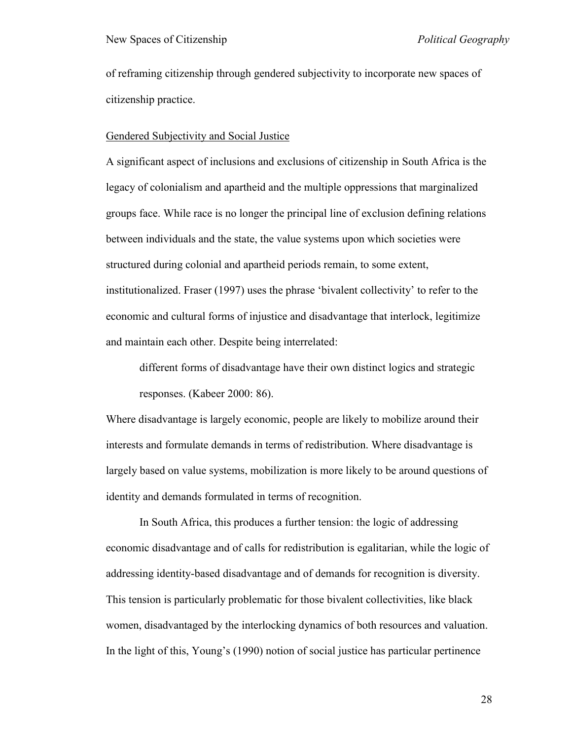of reframing citizenship through gendered subjectivity to incorporate new spaces of citizenship practice.

#### Gendered Subjectivity and Social Justice

A significant aspect of inclusions and exclusions of citizenship in South Africa is the legacy of colonialism and apartheid and the multiple oppressions that marginalized groups face. While race is no longer the principal line of exclusion defining relations between individuals and the state, the value systems upon which societies were structured during colonial and apartheid periods remain, to some extent, institutionalized. Fraser (1997) uses the phrase "bivalent collectivity" to refer to the economic and cultural forms of injustice and disadvantage that interlock, legitimize and maintain each other. Despite being interrelated:

different forms of disadvantage have their own distinct logics and strategic responses. (Kabeer 2000: 86).

Where disadvantage is largely economic, people are likely to mobilize around their interests and formulate demands in terms of redistribution. Where disadvantage is largely based on value systems, mobilization is more likely to be around questions of identity and demands formulated in terms of recognition.

In South Africa, this produces a further tension: the logic of addressing economic disadvantage and of calls for redistribution is egalitarian, while the logic of addressing identity-based disadvantage and of demands for recognition is diversity. This tension is particularly problematic for those bivalent collectivities, like black women, disadvantaged by the interlocking dynamics of both resources and valuation. In the light of this, Young"s (1990) notion of social justice has particular pertinence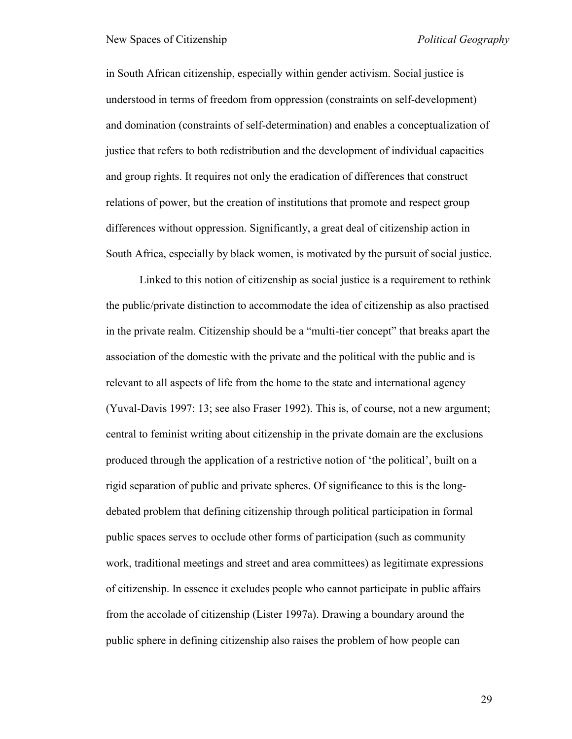in South African citizenship, especially within gender activism. Social justice is understood in terms of freedom from oppression (constraints on self-development) and domination (constraints of self-determination) and enables a conceptualization of justice that refers to both redistribution and the development of individual capacities and group rights. It requires not only the eradication of differences that construct relations of power, but the creation of institutions that promote and respect group differences without oppression. Significantly, a great deal of citizenship action in South Africa, especially by black women, is motivated by the pursuit of social justice.

Linked to this notion of citizenship as social justice is a requirement to rethink the public/private distinction to accommodate the idea of citizenship as also practised in the private realm. Citizenship should be a "multi-tier concept" that breaks apart the association of the domestic with the private and the political with the public and is relevant to all aspects of life from the home to the state and international agency (Yuval-Davis 1997: 13; see also Fraser 1992). This is, of course, not a new argument; central to feminist writing about citizenship in the private domain are the exclusions produced through the application of a restrictive notion of "the political", built on a rigid separation of public and private spheres. Of significance to this is the longdebated problem that defining citizenship through political participation in formal public spaces serves to occlude other forms of participation (such as community work, traditional meetings and street and area committees) as legitimate expressions of citizenship. In essence it excludes people who cannot participate in public affairs from the accolade of citizenship (Lister 1997a). Drawing a boundary around the public sphere in defining citizenship also raises the problem of how people can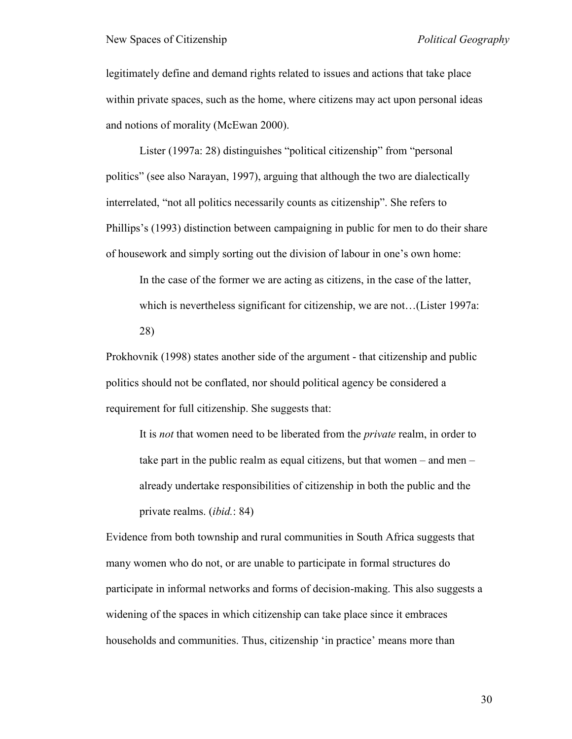legitimately define and demand rights related to issues and actions that take place within private spaces, such as the home, where citizens may act upon personal ideas and notions of morality (McEwan 2000).

Lister (1997a: 28) distinguishes "political citizenship" from "personal politics" (see also Narayan, 1997), arguing that although the two are dialectically interrelated, "not all politics necessarily counts as citizenship". She refers to Phillips"s (1993) distinction between campaigning in public for men to do their share of housework and simply sorting out the division of labour in one"s own home:

In the case of the former we are acting as citizens, in the case of the latter, which is nevertheless significant for citizenship, we are not...(Lister 1997a: 28)

Prokhovnik (1998) states another side of the argument - that citizenship and public politics should not be conflated, nor should political agency be considered a requirement for full citizenship. She suggests that:

It is *not* that women need to be liberated from the *private* realm, in order to take part in the public realm as equal citizens, but that women – and men – already undertake responsibilities of citizenship in both the public and the private realms. (*ibid.*: 84)

Evidence from both township and rural communities in South Africa suggests that many women who do not, or are unable to participate in formal structures do participate in informal networks and forms of decision-making. This also suggests a widening of the spaces in which citizenship can take place since it embraces households and communities. Thus, citizenship 'in practice' means more than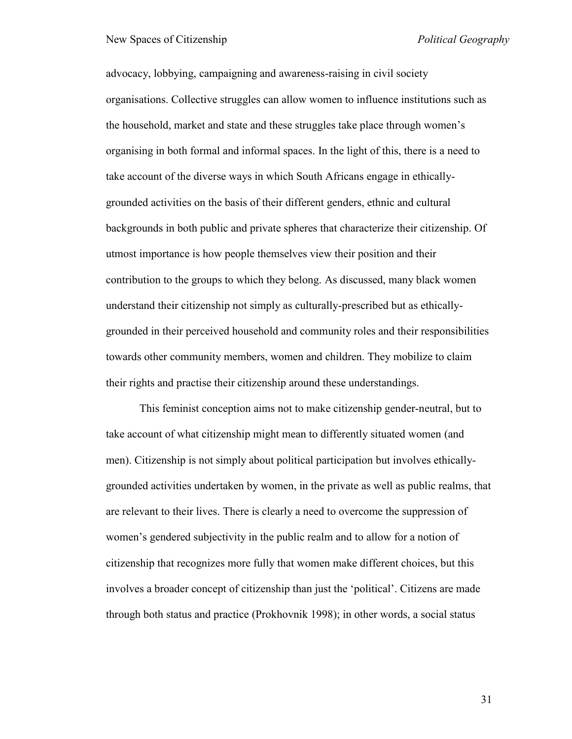advocacy, lobbying, campaigning and awareness-raising in civil society organisations. Collective struggles can allow women to influence institutions such as the household, market and state and these struggles take place through women"s organising in both formal and informal spaces. In the light of this, there is a need to take account of the diverse ways in which South Africans engage in ethicallygrounded activities on the basis of their different genders, ethnic and cultural backgrounds in both public and private spheres that characterize their citizenship. Of utmost importance is how people themselves view their position and their contribution to the groups to which they belong. As discussed, many black women understand their citizenship not simply as culturally-prescribed but as ethicallygrounded in their perceived household and community roles and their responsibilities towards other community members, women and children. They mobilize to claim their rights and practise their citizenship around these understandings.

This feminist conception aims not to make citizenship gender-neutral, but to take account of what citizenship might mean to differently situated women (and men). Citizenship is not simply about political participation but involves ethicallygrounded activities undertaken by women, in the private as well as public realms, that are relevant to their lives. There is clearly a need to overcome the suppression of women"s gendered subjectivity in the public realm and to allow for a notion of citizenship that recognizes more fully that women make different choices, but this involves a broader concept of citizenship than just the "political". Citizens are made through both status and practice (Prokhovnik 1998); in other words, a social status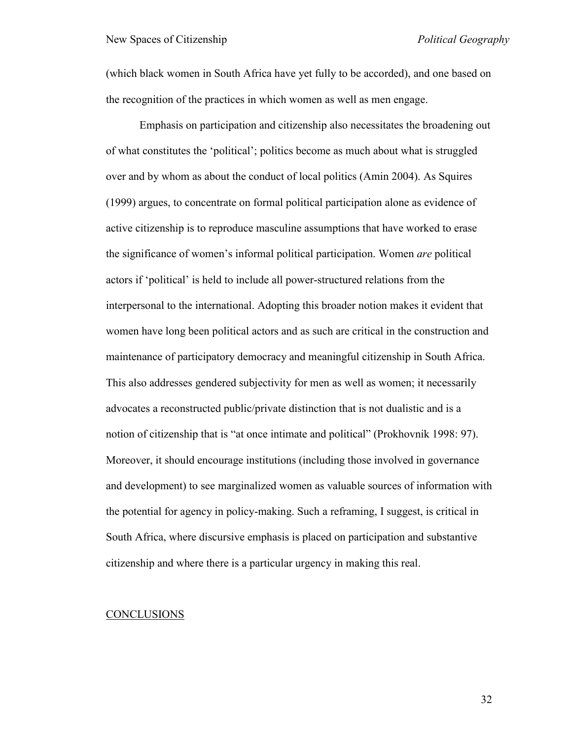(which black women in South Africa have yet fully to be accorded), and one based on the recognition of the practices in which women as well as men engage.

Emphasis on participation and citizenship also necessitates the broadening out of what constitutes the "political"; politics become as much about what is struggled over and by whom as about the conduct of local politics (Amin 2004). As Squires (1999) argues, to concentrate on formal political participation alone as evidence of active citizenship is to reproduce masculine assumptions that have worked to erase the significance of women"s informal political participation. Women *are* political actors if "political" is held to include all power-structured relations from the interpersonal to the international. Adopting this broader notion makes it evident that women have long been political actors and as such are critical in the construction and maintenance of participatory democracy and meaningful citizenship in South Africa. This also addresses gendered subjectivity for men as well as women; it necessarily advocates a reconstructed public/private distinction that is not dualistic and is a notion of citizenship that is "at once intimate and political" (Prokhovnik 1998: 97). Moreover, it should encourage institutions (including those involved in governance and development) to see marginalized women as valuable sources of information with the potential for agency in policy-making. Such a reframing, I suggest, is critical in South Africa, where discursive emphasis is placed on participation and substantive citizenship and where there is a particular urgency in making this real.

#### **CONCLUSIONS**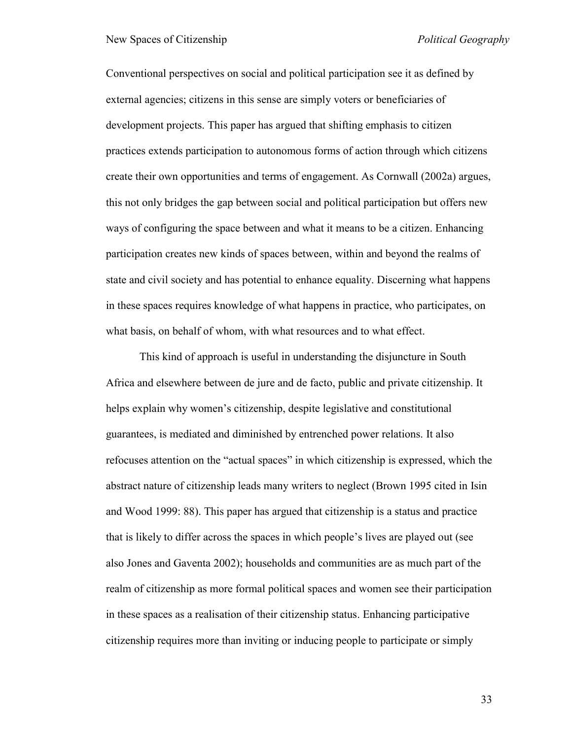Conventional perspectives on social and political participation see it as defined by external agencies; citizens in this sense are simply voters or beneficiaries of development projects. This paper has argued that shifting emphasis to citizen practices extends participation to autonomous forms of action through which citizens create their own opportunities and terms of engagement. As Cornwall (2002a) argues, this not only bridges the gap between social and political participation but offers new ways of configuring the space between and what it means to be a citizen. Enhancing participation creates new kinds of spaces between, within and beyond the realms of state and civil society and has potential to enhance equality. Discerning what happens in these spaces requires knowledge of what happens in practice, who participates, on what basis, on behalf of whom, with what resources and to what effect.

This kind of approach is useful in understanding the disjuncture in South Africa and elsewhere between de jure and de facto, public and private citizenship. It helps explain why women's citizenship, despite legislative and constitutional guarantees, is mediated and diminished by entrenched power relations. It also refocuses attention on the "actual spaces" in which citizenship is expressed, which the abstract nature of citizenship leads many writers to neglect (Brown 1995 cited in Isin and Wood 1999: 88). This paper has argued that citizenship is a status and practice that is likely to differ across the spaces in which people"s lives are played out (see also Jones and Gaventa 2002); households and communities are as much part of the realm of citizenship as more formal political spaces and women see their participation in these spaces as a realisation of their citizenship status. Enhancing participative citizenship requires more than inviting or inducing people to participate or simply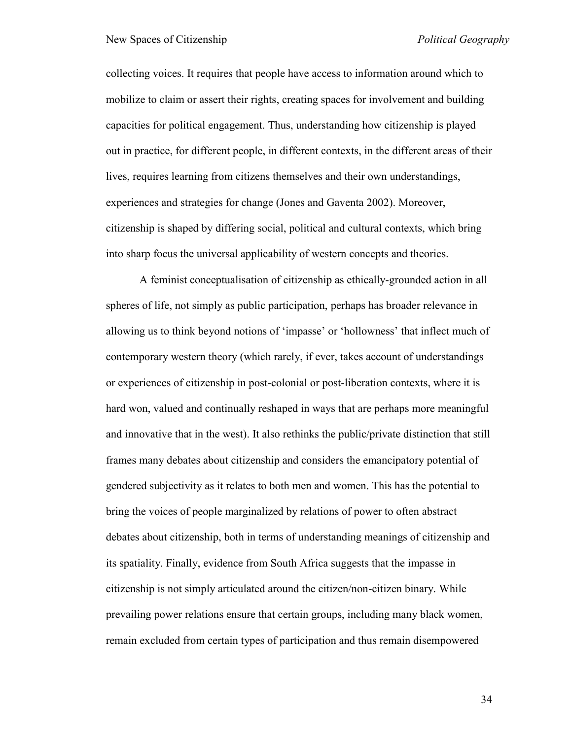collecting voices. It requires that people have access to information around which to mobilize to claim or assert their rights, creating spaces for involvement and building capacities for political engagement. Thus, understanding how citizenship is played out in practice, for different people, in different contexts, in the different areas of their lives, requires learning from citizens themselves and their own understandings, experiences and strategies for change (Jones and Gaventa 2002). Moreover, citizenship is shaped by differing social, political and cultural contexts, which bring into sharp focus the universal applicability of western concepts and theories.

A feminist conceptualisation of citizenship as ethically-grounded action in all spheres of life, not simply as public participation, perhaps has broader relevance in allowing us to think beyond notions of "impasse" or "hollowness" that inflect much of contemporary western theory (which rarely, if ever, takes account of understandings or experiences of citizenship in post-colonial or post-liberation contexts, where it is hard won, valued and continually reshaped in ways that are perhaps more meaningful and innovative that in the west). It also rethinks the public/private distinction that still frames many debates about citizenship and considers the emancipatory potential of gendered subjectivity as it relates to both men and women. This has the potential to bring the voices of people marginalized by relations of power to often abstract debates about citizenship, both in terms of understanding meanings of citizenship and its spatiality. Finally, evidence from South Africa suggests that the impasse in citizenship is not simply articulated around the citizen/non-citizen binary. While prevailing power relations ensure that certain groups, including many black women, remain excluded from certain types of participation and thus remain disempowered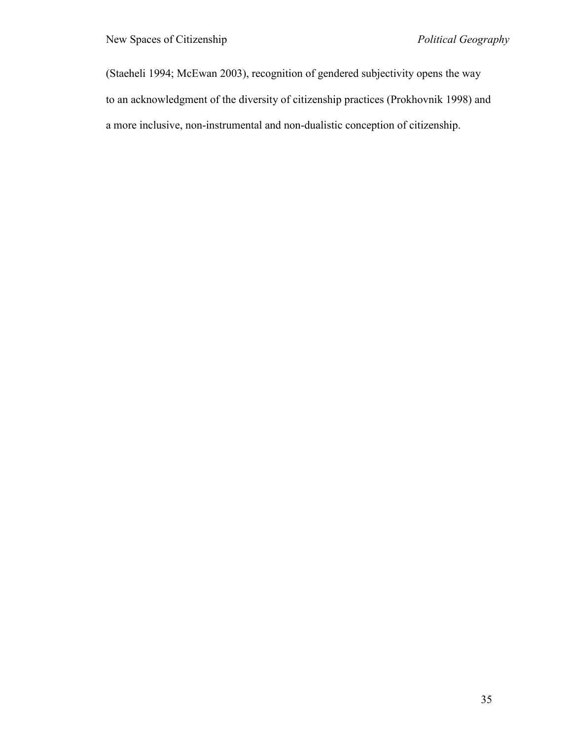(Staeheli 1994; McEwan 2003), recognition of gendered subjectivity opens the way to an acknowledgment of the diversity of citizenship practices (Prokhovnik 1998) and a more inclusive, non-instrumental and non-dualistic conception of citizenship.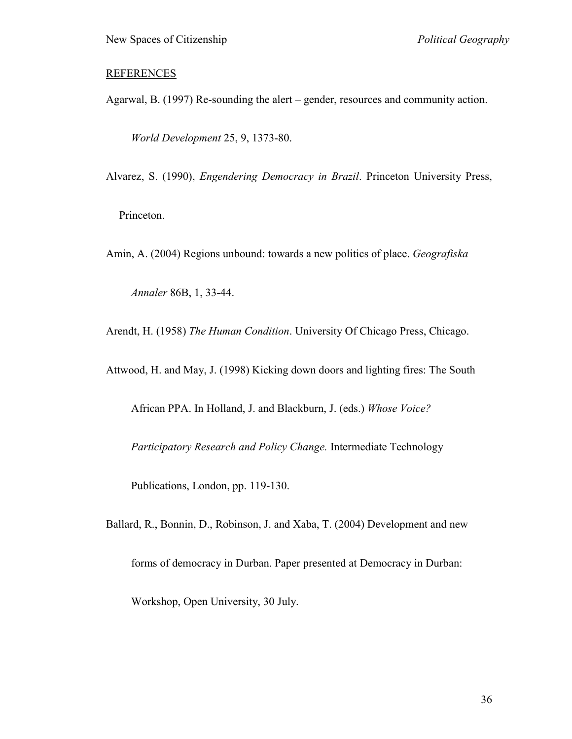## **REFERENCES**

Agarwal, B. (1997) Re-sounding the alert – gender, resources and community action.

*World Development* 25, 9, 1373-80.

Alvarez, S. (1990), *Engendering Democracy in Brazil*. Princeton University Press,

Princeton.

Amin, A. (2004) Regions unbound: towards a new politics of place. *Geografiska* 

*Annaler* 86B, 1, 33-44.

Arendt, H. (1958) *The Human Condition*. University Of Chicago Press, Chicago.

Attwood, H. and May, J. (1998) Kicking down doors and lighting fires: The South

African PPA. In Holland, J. and Blackburn, J. (eds.) *Whose Voice?* 

*Participatory Research and Policy Change.* Intermediate Technology

Publications, London, pp. 119-130.

Ballard, R., Bonnin, D., Robinson, J. and Xaba, T. (2004) Development and new

forms of democracy in Durban. Paper presented at Democracy in Durban:

Workshop, Open University, 30 July.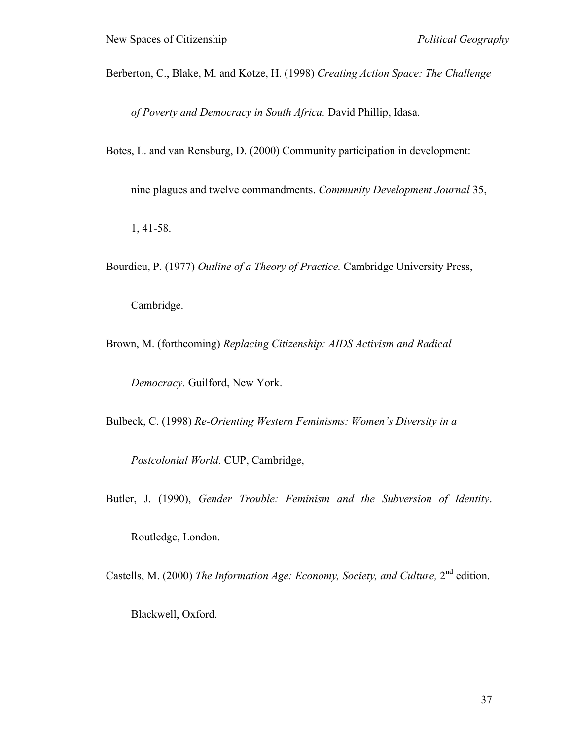Berberton, C., Blake, M. and Kotze, H. (1998) *Creating Action Space: The Challenge* 

*of Poverty and Democracy in South Africa.* David Phillip, Idasa.

Botes, L. and van Rensburg, D. (2000) Community participation in development:

nine plagues and twelve commandments. *Community Development Journal* 35,

1, 41-58.

Bourdieu, P. (1977) *Outline of a Theory of Practice.* Cambridge University Press,

Cambridge.

Brown, M. (forthcoming) *Replacing Citizenship: AIDS Activism and Radical* 

*Democracy.* Guilford, New York.

Bulbeck, C. (1998) *Re-Orienting Western Feminisms: Women's Diversity in a* 

*Postcolonial World.* CUP, Cambridge,

Butler, J. (1990), *Gender Trouble: Feminism and the Subversion of Identity*.

Routledge, London.

Castells, M. (2000) *The Information Age: Economy, Society, and Culture*, 2<sup>nd</sup> edition.

Blackwell, Oxford.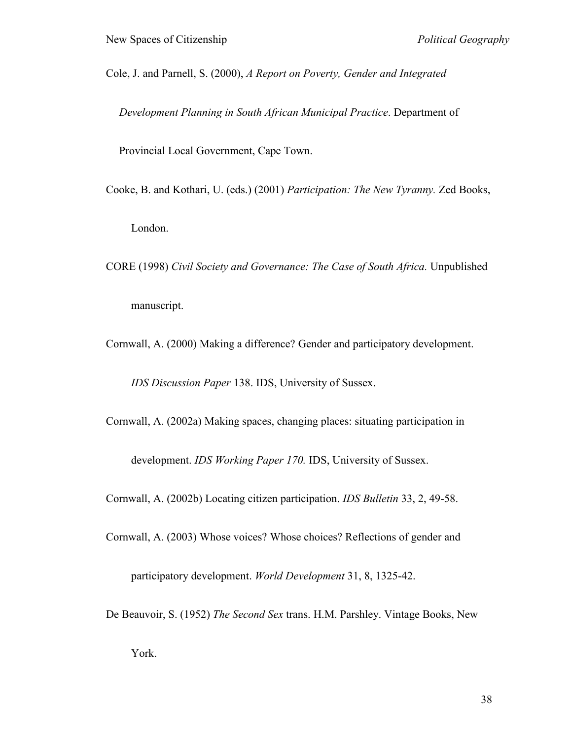Cole, J. and Parnell, S. (2000), *A Report on Poverty, Gender and Integrated* 

*Development Planning in South African Municipal Practice*. Department of

Provincial Local Government, Cape Town.

- Cooke, B. and Kothari, U. (eds.) (2001) *Participation: The New Tyranny.* Zed Books, London.
- CORE (1998) *Civil Society and Governance: The Case of South Africa.* Unpublished manuscript.

Cornwall, A. (2000) Making a difference? Gender and participatory development.

*IDS Discussion Paper* 138. IDS, University of Sussex.

Cornwall, A. (2002a) Making spaces, changing places: situating participation in

development. *IDS Working Paper 170.* IDS, University of Sussex.

Cornwall, A. (2002b) Locating citizen participation. *IDS Bulletin* 33, 2, 49-58.

Cornwall, A. (2003) Whose voices? Whose choices? Reflections of gender and

participatory development. *World Development* 31, 8, 1325-42.

De Beauvoir, S. (1952) *The Second Sex* trans. H.M. Parshley. Vintage Books, New

York.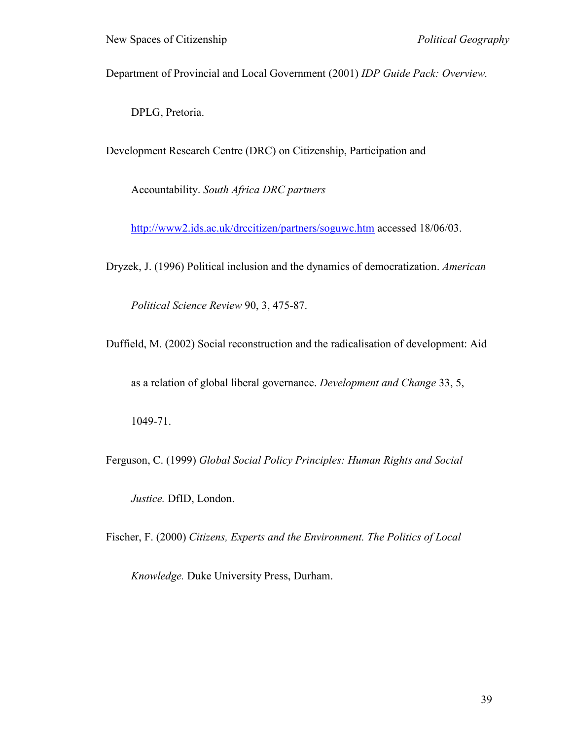Department of Provincial and Local Government (2001) *IDP Guide Pack: Overview.*

DPLG, Pretoria.

Development Research Centre (DRC) on Citizenship, Participation and

Accountability. *South Africa DRC partners*

<http://www2.ids.ac.uk/drccitizen/partners/soguwc.htm> accessed 18/06/03.

Dryzek, J. (1996) Political inclusion and the dynamics of democratization. *American* 

*Political Science Review* 90, 3, 475-87.

Duffield, M. (2002) Social reconstruction and the radicalisation of development: Aid

as a relation of global liberal governance. *Development and Change* 33, 5,

1049-71.

Ferguson, C. (1999) *Global Social Policy Principles: Human Rights and Social* 

*Justice.* DfID, London.

Fischer, F. (2000) *Citizens, Experts and the Environment. The Politics of Local* 

*Knowledge.* Duke University Press, Durham.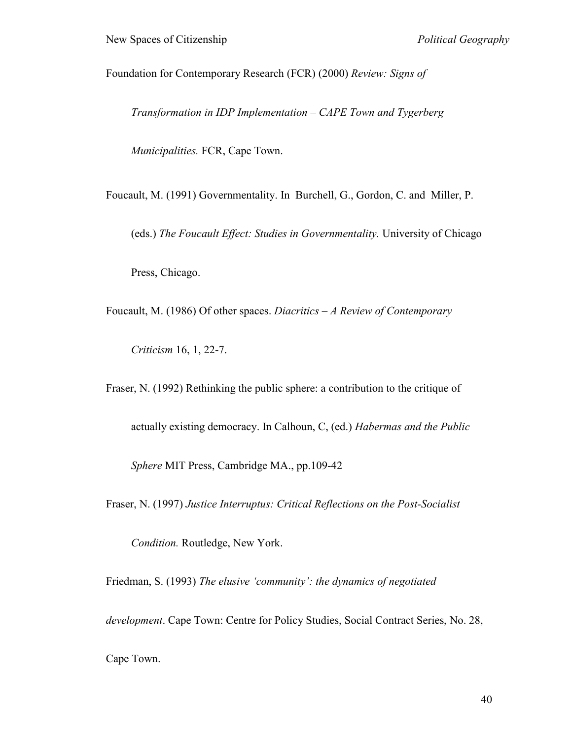Foundation for Contemporary Research (FCR) (2000) *Review: Signs of* 

*Transformation in IDP Implementation – CAPE Town and Tygerberg* 

*Municipalities.* FCR, Cape Town.

Foucault, M. (1991) Governmentality. In Burchell, G., Gordon, C. and Miller, P.

(eds.) *The Foucault Effect: Studies in Governmentality.* University of Chicago

Press, Chicago.

Foucault, M. (1986) Of other spaces. *Diacritics – A Review of Contemporary* 

*Criticism* 16, 1, 22-7.

Fraser, N. (1992) Rethinking the public sphere: a contribution to the critique of

actually existing democracy. In Calhoun, C, (ed.) *Habermas and the Public* 

*Sphere* MIT Press, Cambridge MA., pp.109-42

Fraser, N. (1997) *Justice Interruptus: Critical Reflections on the Post-Socialist* 

*Condition.* Routledge, New York.

Friedman, S. (1993) *The elusive 'community': the dynamics of negotiated* 

*development*. Cape Town: Centre for Policy Studies, Social Contract Series, No. 28,

Cape Town.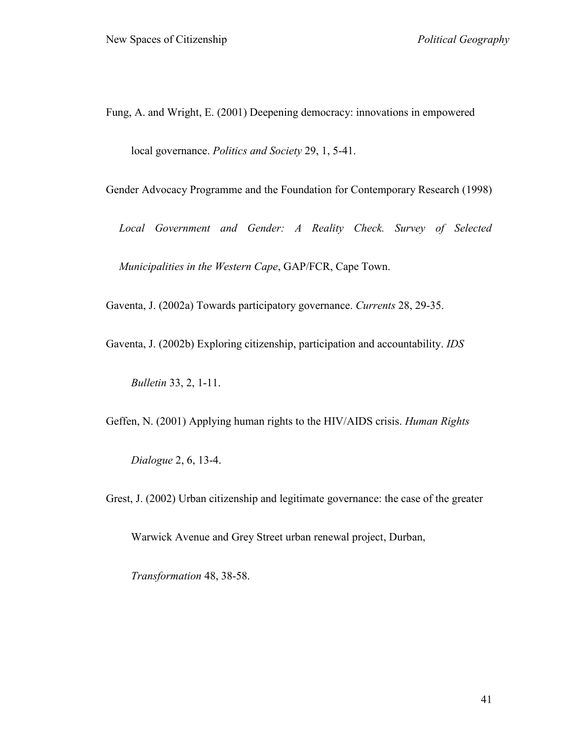Fung, A. and Wright, E. (2001) Deepening democracy: innovations in empowered

local governance. *Politics and Society* 29, 1, 5-41.

Gender Advocacy Programme and the Foundation for Contemporary Research (1998)

*Local Government and Gender: A Reality Check. Survey of Selected Municipalities in the Western Cape*, GAP/FCR, Cape Town.

Gaventa, J. (2002a) Towards participatory governance. *Currents* 28, 29-35.

Gaventa, J. (2002b) Exploring citizenship, participation and accountability. *IDS* 

*Bulletin* 33, 2, 1-11.

Geffen, N. (2001) Applying human rights to the HIV/AIDS crisis. *Human Rights* 

*Dialogue* 2, 6, 13-4.

Grest, J. (2002) Urban citizenship and legitimate governance: the case of the greater

Warwick Avenue and Grey Street urban renewal project, Durban,

*Transformation* 48, 38-58.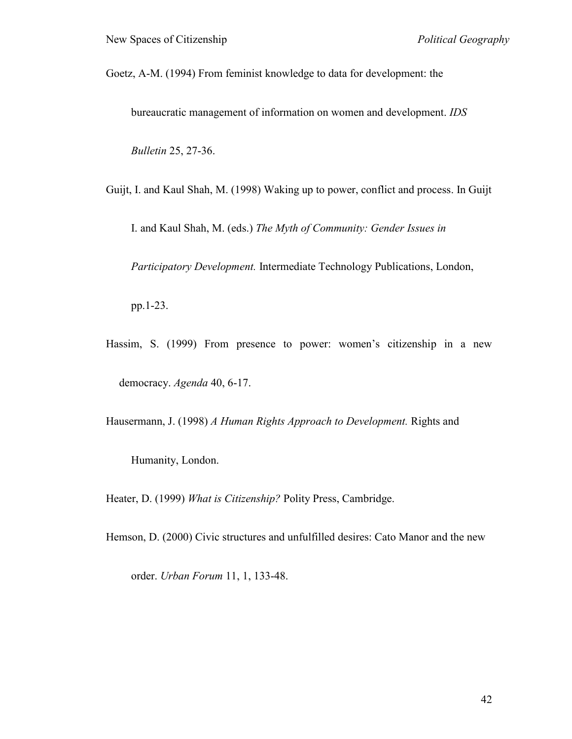Goetz, A-M. (1994) From feminist knowledge to data for development: the

bureaucratic management of information on women and development. *IDS* 

*Bulletin* 25, 27-36.

Guijt, I. and Kaul Shah, M. (1998) Waking up to power, conflict and process. In Guijt

I. and Kaul Shah, M. (eds.) *The Myth of Community: Gender Issues in* 

*Participatory Development.* Intermediate Technology Publications, London,

pp.1-23.

Hassim, S. (1999) From presence to power: women's citizenship in a new democracy. *Agenda* 40, 6-17.

Hausermann, J. (1998) *A Human Rights Approach to Development.* Rights and

Humanity, London.

Heater, D. (1999) *What is Citizenship?* Polity Press, Cambridge.

Hemson, D. (2000) Civic structures and unfulfilled desires: Cato Manor and the new

order. *Urban Forum* 11, 1, 133-48.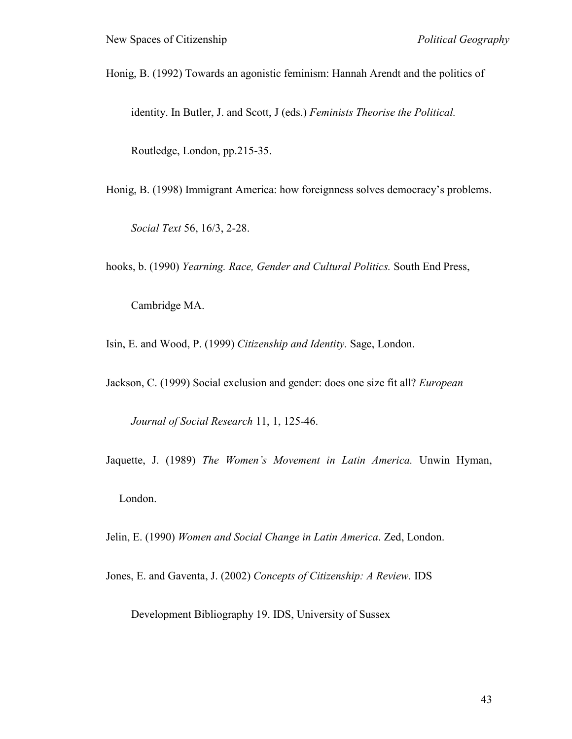Honig, B. (1992) Towards an agonistic feminism: Hannah Arendt and the politics of

identity. In Butler, J. and Scott, J (eds.) *Feminists Theorise the Political.*

Routledge, London, pp.215-35.

Honig, B. (1998) Immigrant America: how foreignness solves democracy"s problems.

*Social Text* 56, 16/3, 2-28.

hooks, b. (1990) *Yearning. Race, Gender and Cultural Politics.* South End Press,

Cambridge MA.

Isin, E. and Wood, P. (1999) *Citizenship and Identity.* Sage, London.

Jackson, C. (1999) Social exclusion and gender: does one size fit all? *European* 

*Journal of Social Research* 11, 1, 125-46.

Jaquette, J. (1989) *The Women's Movement in Latin America.* Unwin Hyman,

London.

Jelin, E. (1990) *Women and Social Change in Latin America*. Zed, London.

Jones, E. and Gaventa, J. (2002) *Concepts of Citizenship: A Review.* IDS

Development Bibliography 19. IDS, University of Sussex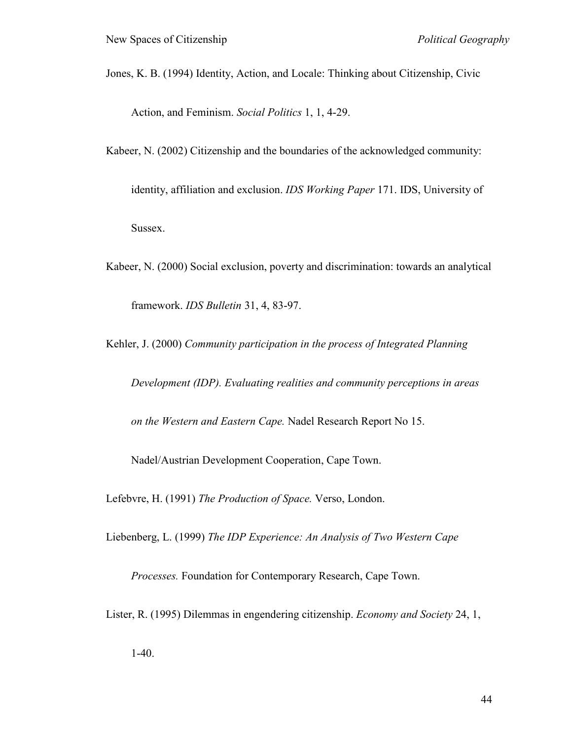Jones, K. B. (1994) Identity, Action, and Locale: Thinking about Citizenship, Civic

Action, and Feminism. *Social Politics* 1, 1, 4-29.

Kabeer, N. (2002) Citizenship and the boundaries of the acknowledged community:

identity, affiliation and exclusion. *IDS Working Paper* 171. IDS, University of Sussex.

Kabeer, N. (2000) Social exclusion, poverty and discrimination: towards an analytical framework. *IDS Bulletin* 31, 4, 83-97.

Kehler, J. (2000) *Community participation in the process of Integrated Planning* 

*Development (IDP). Evaluating realities and community perceptions in areas* 

*on the Western and Eastern Cape.* Nadel Research Report No 15.

Nadel/Austrian Development Cooperation, Cape Town.

Lefebvre, H. (1991) *The Production of Space.* Verso, London.

Liebenberg, L. (1999) *The IDP Experience: An Analysis of Two Western Cape* 

*Processes.* Foundation for Contemporary Research, Cape Town.

Lister, R. (1995) Dilemmas in engendering citizenship. *Economy and Society* 24, 1,

1-40.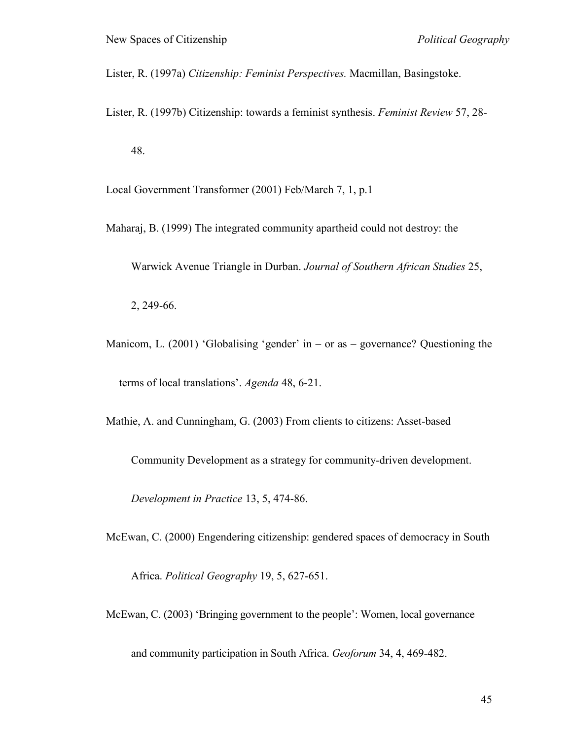Lister, R. (1997a) *Citizenship: Feminist Perspectives.* Macmillan, Basingstoke.

Lister, R. (1997b) Citizenship: towards a feminist synthesis. *Feminist Review* 57, 28- 48.

Local Government Transformer (2001) Feb/March 7, 1, p.1

Maharaj, B. (1999) The integrated community apartheid could not destroy: the

Warwick Avenue Triangle in Durban. *Journal of Southern African Studies* 25,

2, 249-66.

Manicom, L. (2001) 'Globalising 'gender' in – or as – governance? Questioning the terms of local translations". *Agenda* 48, 6-21.

Mathie, A. and Cunningham, G. (2003) From clients to citizens: Asset-based

Community Development as a strategy for community-driven development.

*Development in Practice* 13, 5, 474-86.

McEwan, C. (2000) Engendering citizenship: gendered spaces of democracy in South

Africa. *Political Geography* 19, 5, 627-651.

McEwan, C. (2003) 'Bringing government to the people': Women, local governance

and community participation in South Africa. *Geoforum* 34, 4, 469-482.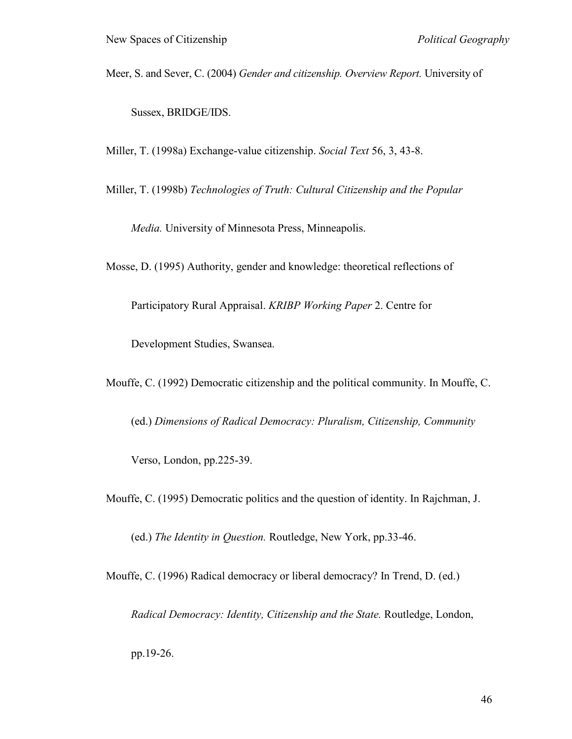Meer, S. and Sever, C. (2004) *Gender and citizenship. Overview Report.* University of

Sussex, BRIDGE/IDS.

Miller, T. (1998a) Exchange-value citizenship. *Social Text* 56, 3, 43-8.

Miller, T. (1998b) *Technologies of Truth: Cultural Citizenship and the Popular* 

*Media.* University of Minnesota Press, Minneapolis.

Mosse, D. (1995) Authority, gender and knowledge: theoretical reflections of

Participatory Rural Appraisal. *KRIBP Working Paper* 2. Centre for

Development Studies, Swansea.

Mouffe, C. (1992) Democratic citizenship and the political community. In Mouffe, C.

(ed.) *Dimensions of Radical Democracy: Pluralism, Citizenship, Community*

Verso, London, pp.225-39.

Mouffe, C. (1995) Democratic politics and the question of identity. In Rajchman, J.

(ed.) *The Identity in Question.* Routledge, New York, pp.33-46.

Mouffe, C. (1996) Radical democracy or liberal democracy? In Trend, D. (ed.)

*Radical Democracy: Identity, Citizenship and the State.* Routledge, London,

pp.19-26.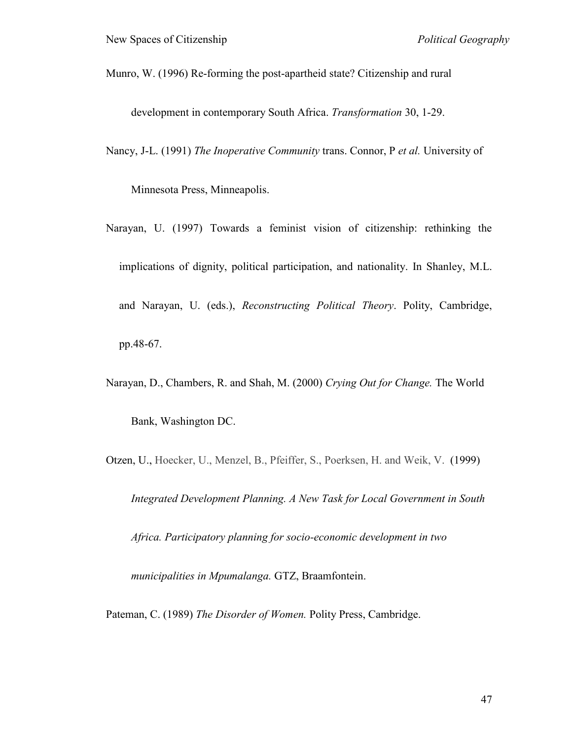Munro, W. (1996) Re-forming the post-apartheid state? Citizenship and rural

development in contemporary South Africa. *Transformation* 30, 1-29.

Nancy, J-L. (1991) *The Inoperative Community* trans. Connor, P *et al.* University of

Minnesota Press, Minneapolis.

- Narayan, U. (1997) Towards a feminist vision of citizenship: rethinking the implications of dignity, political participation, and nationality. In Shanley, M.L. and Narayan, U. (eds.), *Reconstructing Political Theory*. Polity, Cambridge, pp.48-67.
- Narayan, D., Chambers, R. and Shah, M. (2000) *Crying Out for Change.* The World Bank, Washington DC.

Otzen, U., Hoecker, U., Menzel, B., Pfeiffer, S., Poerksen, H. and Weik, V. (1999)

*Integrated Development Planning. A New Task for Local Government in South* 

*Africa. Participatory planning for socio-economic development in two* 

*municipalities in Mpumalanga.* GTZ, Braamfontein.

Pateman, C. (1989) *The Disorder of Women.* Polity Press, Cambridge.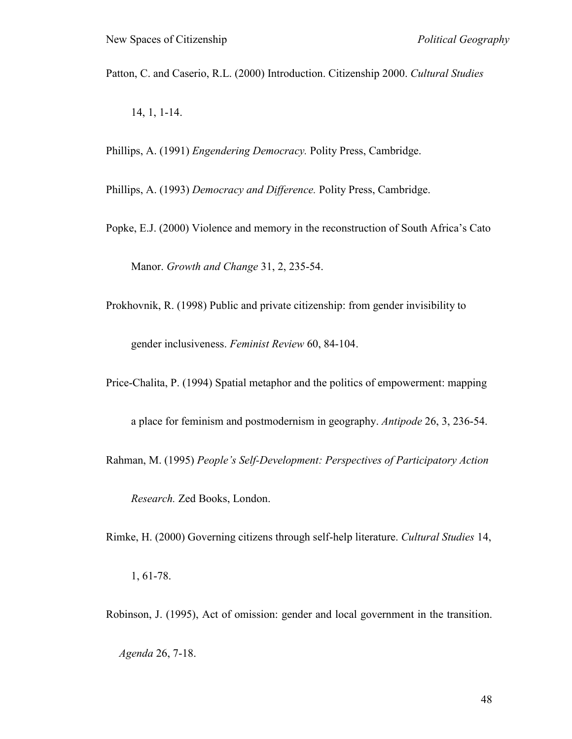Patton, C. and Caserio, R.L. (2000) Introduction. Citizenship 2000. *Cultural Studies*

14, 1, 1-14.

Phillips, A. (1991) *Engendering Democracy.* Polity Press, Cambridge.

Phillips, A. (1993) *Democracy and Difference.* Polity Press, Cambridge.

Popke, E.J. (2000) Violence and memory in the reconstruction of South Africa"s Cato

Manor. *Growth and Change* 31, 2, 235-54.

Prokhovnik, R. (1998) Public and private citizenship: from gender invisibility to

gender inclusiveness. *Feminist Review* 60, 84-104.

Price-Chalita, P. (1994) Spatial metaphor and the politics of empowerment: mapping

a place for feminism and postmodernism in geography. *Antipode* 26, 3, 236-54.

Rahman, M. (1995) *People's Self-Development: Perspectives of Participatory Action* 

*Research.* Zed Books, London.

Rimke, H. (2000) Governing citizens through self-help literature. *Cultural Studies* 14,

1, 61-78.

Robinson, J. (1995), Act of omission: gender and local government in the transition.

*Agenda* 26, 7-18.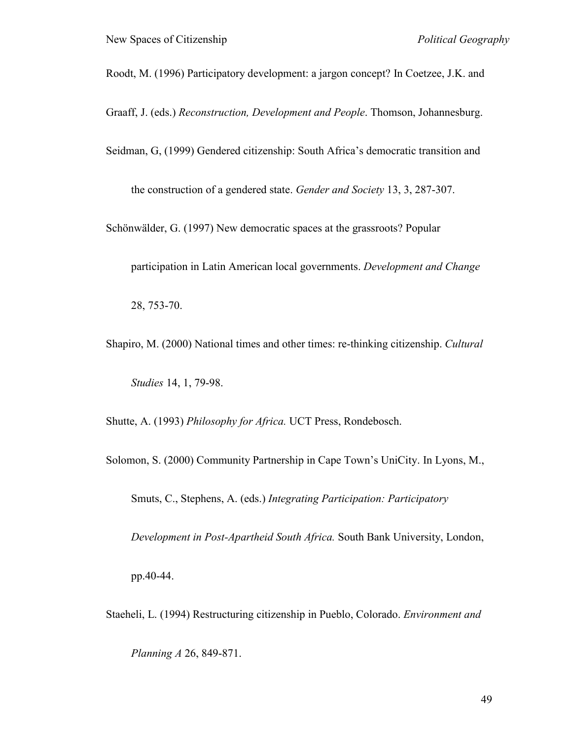- Roodt, M. (1996) Participatory development: a jargon concept? In Coetzee, J.K. and
- Graaff, J. (eds.) *Reconstruction, Development and People*. Thomson, Johannesburg.
- Seidman, G, (1999) Gendered citizenship: South Africa"s democratic transition and

the construction of a gendered state. *Gender and Society* 13, 3, 287-307.

Schönwälder, G. (1997) New democratic spaces at the grassroots? Popular

participation in Latin American local governments. *Development and Change*

28, 753-70.

Shapiro, M. (2000) National times and other times: re-thinking citizenship. *Cultural Studies* 14, 1, 79-98.

Shutte, A. (1993) *Philosophy for Africa.* UCT Press, Rondebosch.

Solomon, S. (2000) Community Partnership in Cape Town"s UniCity. In Lyons, M.,

Smuts, C., Stephens, A. (eds.) *Integrating Participation: Participatory* 

*Development in Post-Apartheid South Africa.* South Bank University, London,

pp.40-44.

Staeheli, L. (1994) Restructuring citizenship in Pueblo, Colorado. *Environment and* 

*Planning A* 26, 849-871.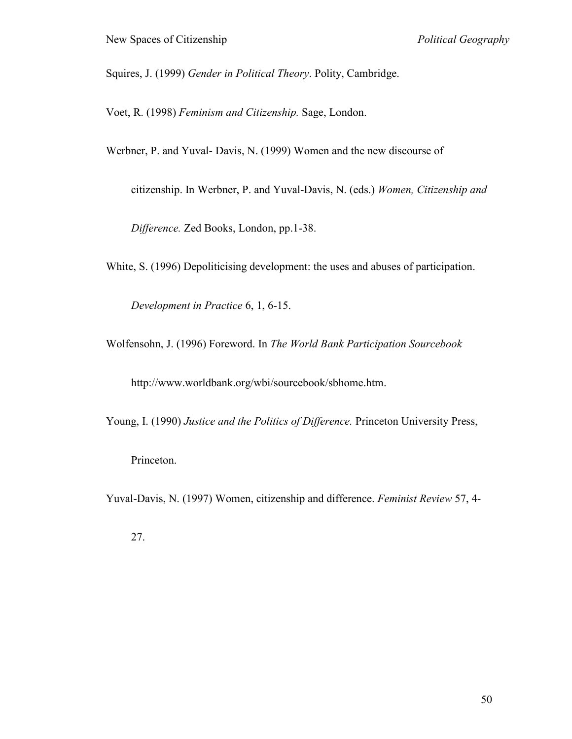Squires, J. (1999) *Gender in Political Theory*. Polity, Cambridge.

Voet, R. (1998) *Feminism and Citizenship.* Sage, London.

Werbner, P. and Yuval- Davis, N. (1999) Women and the new discourse of

citizenship. In Werbner, P. and Yuval-Davis, N. (eds.) *Women, Citizenship and* 

*Difference.* Zed Books, London, pp.1-38.

White, S. (1996) Depoliticising development: the uses and abuses of participation.

*Development in Practice* 6, 1, 6-15.

Wolfensohn, J. (1996) Foreword. In *The World Bank Participation Sourcebook*

http://www.worldbank.org/wbi/sourcebook/sbhome.htm.

Young, I. (1990) *Justice and the Politics of Difference.* Princeton University Press,

Princeton.

Yuval-Davis, N. (1997) Women, citizenship and difference. *Feminist Review* 57, 4-

27.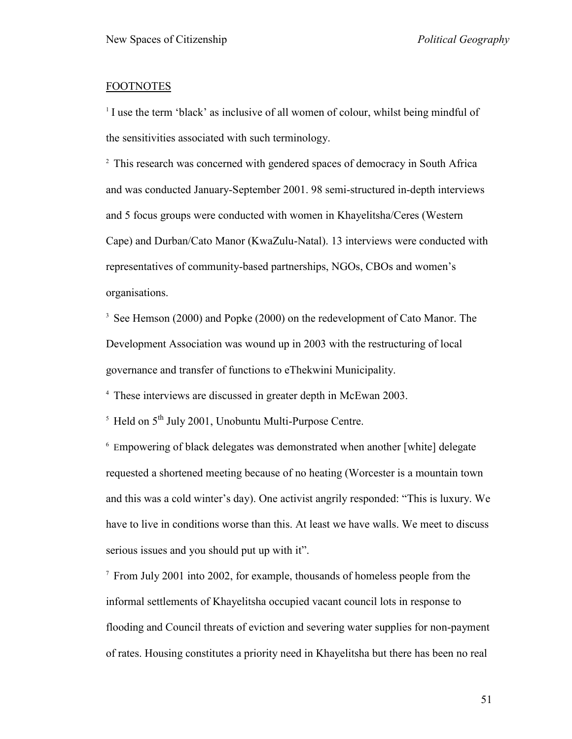### FOOTNOTES

<sup>1</sup> I use the term 'black' as inclusive of all women of colour, whilst being mindful of the sensitivities associated with such terminology.

<sup>2</sup> This research was concerned with gendered spaces of democracy in South Africa and was conducted January-September 2001. 98 semi-structured in-depth interviews and 5 focus groups were conducted with women in Khayelitsha/Ceres (Western Cape) and Durban/Cato Manor (KwaZulu-Natal). 13 interviews were conducted with representatives of community-based partnerships, NGOs, CBOs and women"s organisations.

<sup>3</sup> See Hemson (2000) and Popke (2000) on the redevelopment of Cato Manor. The Development Association was wound up in 2003 with the restructuring of local governance and transfer of functions to eThekwini Municipality.

4 These interviews are discussed in greater depth in McEwan 2003.

 $5$  Held on  $5<sup>th</sup>$  July 2001, Unobuntu Multi-Purpose Centre.

6 Empowering of black delegates was demonstrated when another [white] delegate requested a shortened meeting because of no heating (Worcester is a mountain town and this was a cold winter"s day). One activist angrily responded: "This is luxury. We have to live in conditions worse than this. At least we have walls. We meet to discuss serious issues and you should put up with it".

<sup>7</sup> From July 2001 into 2002, for example, thousands of homeless people from the informal settlements of Khayelitsha occupied vacant council lots in response to flooding and Council threats of eviction and severing water supplies for non-payment of rates. Housing constitutes a priority need in Khayelitsha but there has been no real